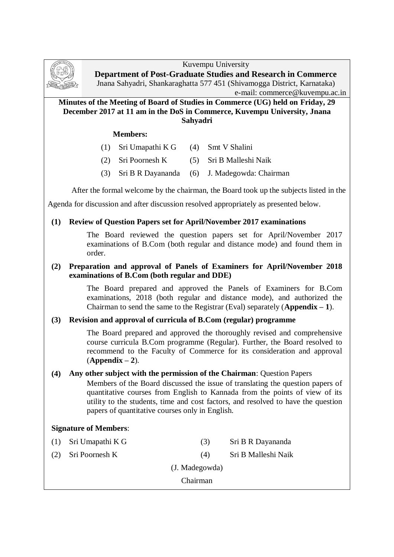

**Department of Post-Graduate Studies and Research in Commerce** Jnana Sahyadri, Shankaraghatta 577 451 (Shivamogga District, Karnataka)

e-mail: commerce@kuvempu.ac.in

# **Minutes of the Meeting of Board of Studies in Commerce (UG) held on Friday, 29 December 2017 at 11 am in the DoS in Commerce, Kuvempu University, Jnana Sahyadri**

# **Members:**

- (1) Sri Umapathi K G (4) Smt V Shalini
- (2) Sri Poornesh K (5) Sri B Malleshi Naik
- (3) Sri B R Dayananda (6) J. Madegowda: Chairman

After the formal welcome by the chairman, the Board took up the subjects listed in the

Agenda for discussion and after discussion resolved appropriately as presented below.

# **(1) Review of Question Papers set for April/November 2017 examinations**

The Board reviewed the question papers set for April/November 2017 examinations of B.Com (both regular and distance mode) and found them in order.

# **(2) Preparation and approval of Panels of Examiners for April/November 2018 examinations of B.Com (both regular and DDE)**

The Board prepared and approved the Panels of Examiners for B.Com examinations, 2018 (both regular and distance mode), and authorized the Chairman to send the same to the Registrar (Eval) separately (**Appendix – 1**).

# **(3) Revision and approval of curricula of B.Com (regular) programme**

The Board prepared and approved the thoroughly revised and comprehensive course curricula B.Com programme (Regular). Further, the Board resolved to recommend to the Faculty of Commerce for its consideration and approval (**Appendix – 2**).

# **(4) Any other subject with the permission of the Chairman**: Question Papers

Members of the Board discussed the issue of translating the question papers of quantitative courses from English to Kannada from the points of view of its utility to the students, time and cost factors, and resolved to have the question papers of quantitative courses only in English.

# **Signature of Members**:

(1) Sri Umapathi K G (3) Sri B R Dayananda (2) Sri Poornesh K (4) Sri B Malleshi Naik (J. Madegowda) Chairman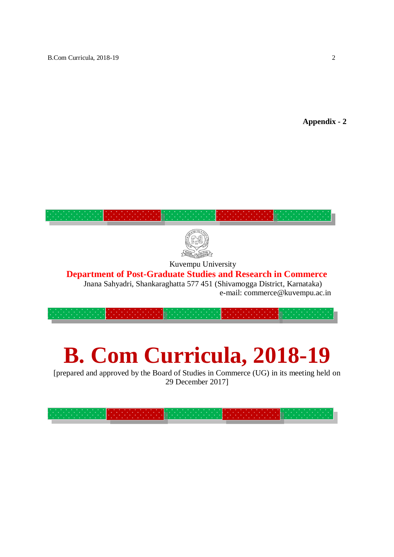**Appendix - 2**



Kuvempu University

# **Department of Post-Graduate Studies and Research in Commerce**

Jnana Sahyadri, Shankaraghatta 577 451 (Shivamogga District, Karnataka) e-mail: commerce@kuvempu.ac.in

# **B. Com Curricula, 2018-19**

[prepared and approved by the Board of Studies in Commerce (UG) in its meeting held on 29 December 2017]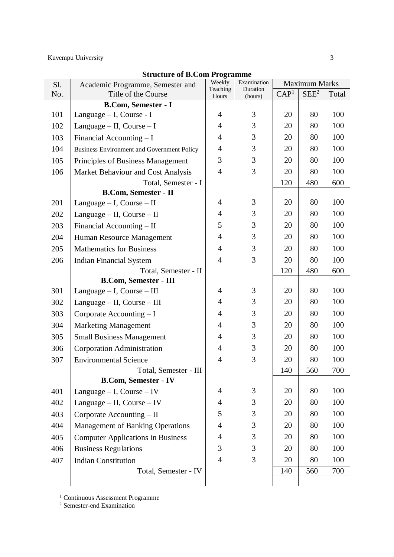| S1. | Academic Programme, Semester and           | Weekly<br>Teaching | Examination<br>Duration | <b>Maximum Marks</b> |                  |       |
|-----|--------------------------------------------|--------------------|-------------------------|----------------------|------------------|-------|
| No. | Title of the Course                        | Hours              | (hours)                 | CAP <sup>1</sup>     | SEE <sup>2</sup> | Total |
|     | <b>B.Com, Semester - I</b>                 |                    |                         |                      |                  |       |
| 101 | Language – I, Course - I                   | $\overline{4}$     | 3                       | 20                   | 80               | 100   |
| 102 | Language $-$ II, Course $-$ I              | $\overline{4}$     | 3                       | 20                   | 80               | 100   |
| 103 | Financial Accounting $-I$                  | $\overline{4}$     | 3                       | 20                   | 80               | 100   |
| 104 | Business Environment and Government Policy | $\overline{4}$     | 3                       | 20                   | 80               | 100   |
| 105 | Principles of Business Management          | 3                  | 3                       | 20                   | 80               | 100   |
| 106 | Market Behaviour and Cost Analysis         | $\overline{4}$     | 3                       | 20                   | 80               | 100   |
|     | Total, Semester - I                        |                    |                         | 120                  | 480              | 600   |
|     | <b>B.Com, Semester - II</b>                |                    |                         |                      |                  |       |
| 201 | Language $- I$ , Course $- II$             | $\overline{4}$     | 3                       | 20                   | 80               | 100   |
| 202 | Language $-$ II, Course $-$ II             | $\overline{4}$     | 3                       | 20                   | 80               | 100   |
| 203 | Financial Accounting – II                  | 5                  | 3                       | 20                   | 80               | 100   |
| 204 | Human Resource Management                  | $\overline{4}$     | 3                       | 20                   | 80               | 100   |
| 205 | <b>Mathematics for Business</b>            | $\overline{4}$     | 3                       | 20                   | 80               | 100   |
| 206 | <b>Indian Financial System</b>             | $\overline{4}$     | 3                       | 20                   | 80               | 100   |
|     | Total, Semester - II                       |                    |                         | 120                  | 480              | 600   |
|     | <b>B.Com, Semester - III</b>               |                    |                         |                      |                  |       |
| 301 | Language $-$ I, Course $-$ III             | 4                  | 3                       | 20                   | 80               | 100   |
| 302 | Language – II, Course – III                | $\overline{4}$     | 3                       | 20                   | 80               | 100   |
| 303 | Corporate Accounting - I                   | $\overline{4}$     | 3                       | 20                   | 80               | 100   |
| 304 | <b>Marketing Management</b>                | $\overline{4}$     | 3                       | 20                   | 80               | 100   |
| 305 | <b>Small Business Management</b>           | $\overline{4}$     | 3                       | 20                   | 80               | 100   |
| 306 | <b>Corporation Administration</b>          | $\overline{4}$     | 3                       | 20                   | 80               | 100   |
| 307 | <b>Environmental Science</b>               | $\overline{4}$     | 3                       | 20                   | 80               | 100   |
|     | Total, Semester - III                      |                    |                         | 140                  | 560              | 700   |
|     | <b>B.Com, Semester - IV</b>                |                    |                         |                      |                  |       |
| 401 | Language $-$ I, Course $-$ IV              | 4                  | $\mathfrak{Z}$          | 20                   | 80               | 100   |
| 402 | Language $-$ II, Course $-$ IV             | $\overline{4}$     | $\mathfrak{Z}$          | 20                   | 80               | 100   |
| 403 | Corporate Accounting – II                  | 5                  | 3                       | 20                   | 80               | 100   |
| 404 | <b>Management of Banking Operations</b>    | $\overline{4}$     | $\mathfrak{Z}$          | 20                   | 80               | 100   |
| 405 | <b>Computer Applications in Business</b>   | 4                  | 3                       | 20                   | 80               | 100   |
| 406 | <b>Business Regulations</b>                | 3                  | 3                       | 20                   | 80               | 100   |
| 407 | <b>Indian Constitution</b>                 | $\overline{4}$     | 3                       | 20                   | 80               | 100   |
|     | Total, Semester - IV                       |                    |                         | 140                  | 560              | 700   |
|     |                                            |                    |                         |                      |                  |       |

# **Structure of B.Com Programme**

<sup>1</sup> Continuous Assessment Programme

<sup>2</sup> Semester-end Examination

<u>.</u>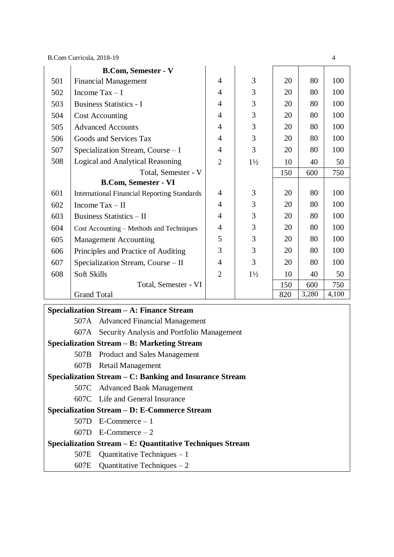|     | <b>B.Com, Semester - V</b>                         |                |                |     |       |       |
|-----|----------------------------------------------------|----------------|----------------|-----|-------|-------|
| 501 | <b>Financial Management</b>                        | $\overline{4}$ | 3              | 20  | 80    | 100   |
| 502 | Income $Tax - I$                                   | $\overline{4}$ | 3              | 20  | 80    | 100   |
| 503 | <b>Business Statistics - I</b>                     | $\overline{4}$ | 3              | 20  | 80    | 100   |
| 504 | <b>Cost Accounting</b>                             | $\overline{4}$ | 3              | 20  | 80    | 100   |
| 505 | <b>Advanced Accounts</b>                           | $\overline{4}$ | 3              | 20  | 80    | 100   |
| 506 | Goods and Services Tax                             | $\overline{4}$ | 3              | 20  | 80    | 100   |
| 507 | Specialization Stream, Course - I                  | $\overline{4}$ | $\overline{3}$ | 20  | 80    | 100   |
| 508 | Logical and Analytical Reasoning                   | $\overline{2}$ | $1\frac{1}{2}$ | 10  | 40    | 50    |
|     | Total, Semester - V                                |                |                | 150 | 600   | 750   |
|     | <b>B.Com, Semester - VI</b>                        |                |                |     |       |       |
| 601 | <b>International Financial Reporting Standards</b> | $\overline{4}$ | 3              | 20  | 80    | 100   |
| 602 | Income $\text{Tax} - \text{II}$                    | $\overline{4}$ | 3              | 20  | 80    | 100   |
| 603 | <b>Business Statistics - II</b>                    | $\overline{4}$ | 3              | 20  | 80    | 100   |
| 604 | Cost Accounting – Methods and Techniques           | $\overline{4}$ | 3              | 20  | 80    | 100   |
| 605 | <b>Management Accounting</b>                       | 5              | 3              | 20  | 80    | 100   |
| 606 | Principles and Practice of Auditing                | 3              | 3              | 20  | 80    | 100   |
| 607 | Specialization Stream, Course – II                 | $\overline{4}$ | 3              | 20  | 80    | 100   |
| 608 | Soft Skills                                        | $\overline{2}$ | $1\frac{1}{2}$ | 10  | 40    | 50    |
|     | Total, Semester - VI                               |                |                | 150 | 600   | 750   |
|     | <b>Grand Total</b>                                 |                |                | 820 | 3,280 | 4,100 |

#### **Specialization Stream – A: Finance Stream**

| 507A |  |  | <b>Advanced Financial Management</b> |
|------|--|--|--------------------------------------|
|------|--|--|--------------------------------------|

607A Security Analysis and Portfolio Management

#### **Specialization Stream – B: Marketing Stream**

- 507B Product and Sales Management
- 607B Retail Management

#### **Specialization Stream – C: Banking and Insurance Stream**

- 507C Advanced Bank Management
- 607C Life and General Insurance

# **Specialization Stream – D: E-Commerce Stream**

- 507D E-Commerce 1
- 607D E-Commerce 2

# **Specialization Stream – E: Quantitative Techniques Stream**

507E Quantitative Techniques – 1

#### 607E Quantitative Techniques – 2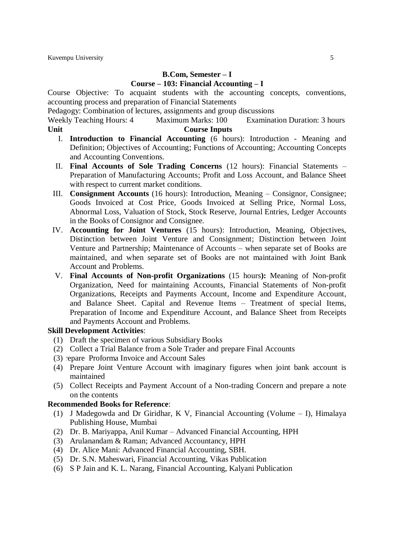# **B.Com, Semester – I**

# **Course – 103: Financial Accounting – I**

Course Objective: To acquaint students with the accounting concepts, conventions, accounting process and preparation of Financial Statements

Pedagogy: Combination of lectures, assignments and group discussions

Weekly Teaching Hours: 4 Maximum Marks: 100 Examination Duration: 3 hours **Unit Course Inputs**

- I. **Introduction to Financial Accounting** (6 hours): Introduction Meaning and Definition; Objectives of Accounting; Functions of Accounting; Accounting Concepts and Accounting Conventions.
- II. **Final Accounts of Sole Trading Concerns** (12 hours): Financial Statements Preparation of Manufacturing Accounts; Profit and Loss Account, and Balance Sheet with respect to current market conditions.
- III. **Consignment Accounts** (16 hours): Introduction, Meaning Consignor, Consignee; Goods Invoiced at Cost Price, Goods Invoiced at Selling Price, Normal Loss, Abnormal Loss, Valuation of Stock, Stock Reserve, Journal Entries, Ledger Accounts in the Books of Consignor and Consignee.
- IV. **Accounting for Joint Ventures** (15 hours): Introduction, Meaning, Objectives, Distinction between Joint Venture and Consignment; Distinction between Joint Venture and Partnership; Maintenance of Accounts – when separate set of Books are maintained, and when separate set of Books are not maintained with Joint Bank Account and Problems.
- V. **Final Accounts of Non-profit Organizations** (15 hours**):** Meaning of Non-profit Organization, Need for maintaining Accounts, Financial Statements of Non-profit Organizations, Receipts and Payments Account, Income and Expenditure Account, and Balance Sheet. Capital and Revenue Items – Treatment of special Items, Preparation of Income and Expenditure Account, and Balance Sheet from Receipts and Payments Account and Problems.

#### **Skill Development Activities**:

- (1) Draft the specimen of various Subsidiary Books
- (2) Collect a Trial Balance from a Sole Trader and prepare Final Accounts
- (3) repare Proforma Invoice and Account Sales
- (4) Prepare Joint Venture Account with imaginary figures when joint bank account is maintained
- (5) Collect Receipts and Payment Account of a Non-trading Concern and prepare a note on the contents

- (1) J Madegowda and Dr Giridhar, K V, Financial Accounting (Volume I), Himalaya Publishing House, Mumbai
- (2) Dr. B. Mariyappa, Anil Kumar Advanced Financial Accounting, HPH
- (3) Arulanandam & Raman; Advanced Accountancy, HPH
- (4) Dr. Alice Mani: Advanced Financial Accounting, SBH.
- (5) Dr. S.N. Maheswari, Financial Accounting, Vikas Publication
- (6) S P Jain and K. L. Narang, Financial Accounting, Kalyani Publication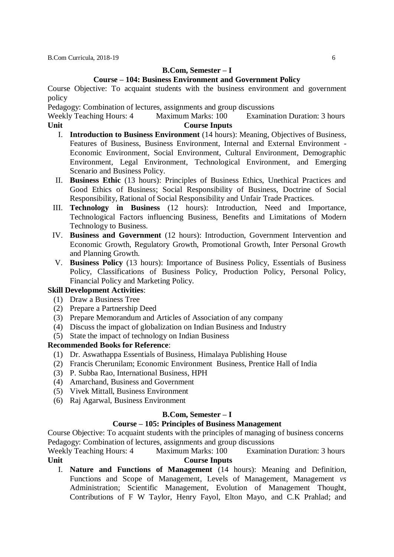# **B.Com, Semester – I**

# **Course – 104: Business Environment and Government Policy**

Course Objective: To acquaint students with the business environment and government policy

Pedagogy: Combination of lectures, assignments and group discussions

Weekly Teaching Hours: 4 Maximum Marks: 100 Examination Duration: 3 hours **Unit Course Inputs**

- I. **Introduction to Business Environment** (14 hours): Meaning, Objectives of Business, Features of Business, Business Environment, Internal and External Environment - Economic Environment, Social Environment, Cultural Environment, Demographic Environment, Legal Environment, Technological Environment, and Emerging Scenario and Business Policy.
- II. **Business Ethic** (13 hours): Principles of Business Ethics, Unethical Practices and Good Ethics of Business; Social Responsibility of Business, Doctrine of Social Responsibility, Rational of Social Responsibility and Unfair Trade Practices.
- III. **Technology in Business** (12 hours): Introduction, Need and Importance, Technological Factors influencing Business, Benefits and Limitations of Modern Technology to Business.
- IV. **Business and Government** (12 hours): Introduction, Government Intervention and Economic Growth, Regulatory Growth, Promotional Growth, Inter Personal Growth and Planning Growth.
- V. **Business Policy** (13 hours): Importance of Business Policy, Essentials of Business Policy, Classifications of Business Policy, Production Policy, Personal Policy, Financial Policy and Marketing Policy.

# **Skill Development Activities**:

- (1) Draw a Business Tree
- (2) Prepare a Partnership Deed
- (3) Prepare Memorandum and Articles of Association of any company
- (4) Discuss the impact of globalization on Indian Business and Industry
- (5) State the impact of technology on Indian Business

# **Recommended Books for Reference**:

- (1) Dr. Aswathappa Essentials of Business, Himalaya Publishing House
- (2) Francis Cherunilam; Economic Environment Business, Prentice Hall of India
- (3) P. Subba Rao, International Business, HPH
- (4) Amarchand, Business and Government
- (5) Vivek Mittall, Business Environment
- (6) Raj Agarwal, Business Environment

#### **B.Com, Semester – I**

#### **Course – 105: Principles of Business Management**

Course Objective: To acquaint students with the principles of managing of business concerns Pedagogy: Combination of lectures, assignments and group discussions

Weekly Teaching Hours: 4 Maximum Marks: 100 Examination Duration: 3 hours **Unit Course Inputs**

I. **Nature and Functions of Management** (14 hours): Meaning and Definition, Functions and Scope of Management, Levels of Management, Management *vs* Administration; Scientific Management, Evolution of Management Thought, Contributions of F W Taylor, Henry Fayol, Elton Mayo, and C.K Prahlad; and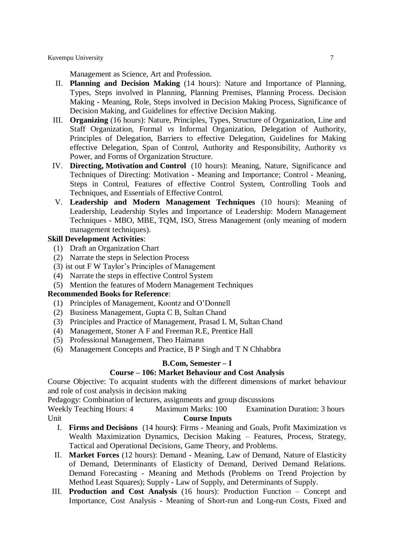Management as Science, Art and Profession.

- II. **Planning and Decision Making** (14 hours): Nature and Importance of Planning, Types, Steps involved in Planning, Planning Premises, Planning Process. Decision Making - Meaning, Role, Steps involved in Decision Making Process, Significance of Decision Making, and Guidelines for effective Decision Making.
- III. **Organizing** (16 hours): Nature, Principles, Types, Structure of Organization, Line and Staff Organization, Formal *vs* Informal Organization, Delegation of Authority, Principles of Delegation, Barriers to effective Delegation, Guidelines for Making effective Delegation, Span of Control, Authority and Responsibility, Authority *vs* Power, and Forms of Organization Structure.
- IV. **Directing, Motivation and Control** (10 hours): Meaning, Nature, Significance and Techniques of Directing: Motivation - Meaning and Importance; Control - Meaning, Steps in Control, Features of effective Control System, Controlling Tools and Techniques, and Essentials of Effective Control.
- V. **Leadership and Modern Management Techniques** (10 hours): Meaning of Leadership, Leadership Styles and Importance of Leadership: Modern Management Techniques - MBO, MBE, TQM, ISO, Stress Management (only meaning of modern management techniques).

#### **Skill Development Activities**:

- (1) Draft an Organization Chart
- (2) Narrate the steps in Selection Process
- $(3)$  ist out F W Taylor's Principles of Management
- (4) Narrate the steps in effective Control System
- (5) Mention the features of Modern Management Techniques

#### **Recommended Books for Reference**:

- (1) Principles of Management, Koontz and O'Donnell
- (2) Business Management, Gupta C B, Sultan Chand
- (3) Principles and Practice of Management, Prasad L M, Sultan Chand
- (4) Management, Stoner A F and Freeman R.E, Prentice Hall
- (5) Professional Management, Theo Haimann
- (6) Management Concepts and Practice, B P Singh and T N Chhabbra

# **B.Com, Semester – I**

# **Course – 106: Market Behaviour and Cost Analysis**

Course Objective: To acquaint students with the different dimensions of market behaviour and role of cost analysis in decision making

Pedagogy: Combination of lectures, assignments and group discussions

- I. **Firms and Decisions** (14 hours**)**: Firms Meaning and Goals, Profit Maximization *vs* Wealth Maximization Dynamics, Decision Making – Features, Process, Strategy, Tactical and Operational Decisions, Game Theory, and Problems.
- II. **Market Forces** (12 hours): Demand Meaning, Law of Demand, Nature of Elasticity of Demand, Determinants of Elasticity of Demand, Derived Demand Relations. Demand Forecasting - Meaning and Methods (Problems on Trend Projection by Method Least Squares); Supply - Law of Supply, and Determinants of Supply.
- III. **Production and Cost Analysis** (16 hours): Production Function Concept and Importance, Cost Analysis - Meaning of Short-run and Long-run Costs, Fixed and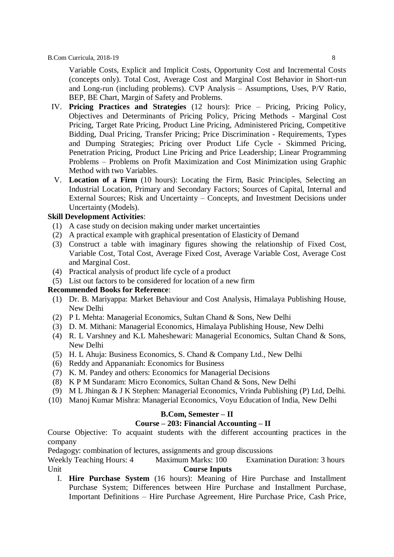Variable Costs, Explicit and Implicit Costs, Opportunity Cost and Incremental Costs (concepts only). Total Cost, Average Cost and Marginal Cost Behavior in Short-run and Long-run (including problems). CVP Analysis – Assumptions, Uses, P/V Ratio, BEP, BE Chart, Margin of Safety and Problems.

- IV. **Pricing Practices and Strategies** (12 hours): Price Pricing, Pricing Policy, Objectives and Determinants of Pricing Policy, Pricing Methods - Marginal Cost Pricing, Target Rate Pricing, Product Line Pricing, Administered Pricing, Competitive Bidding, Dual Pricing, Transfer Pricing; Price Discrimination - Requirements, Types and Dumping Strategies; Pricing over Product Life Cycle - Skimmed Pricing, Penetration Pricing, Product Line Pricing and Price Leadership; Linear Programming Problems – Problems on Profit Maximization and Cost Minimization using Graphic Method with two Variables.
- V. **Location of a Firm** (10 hours): Locating the Firm, Basic Principles, Selecting an Industrial Location, Primary and Secondary Factors; Sources of Capital, Internal and External Sources; Risk and Uncertainty – Concepts, and Investment Decisions under Uncertainty (Models).

#### **Skill Development Activities**:

- (1) A case study on decision making under market uncertainties
- (2) A practical example with graphical presentation of Elasticity of Demand
- (3) Construct a table with imaginary figures showing the relationship of Fixed Cost, Variable Cost, Total Cost, Average Fixed Cost, Average Variable Cost, Average Cost and Marginal Cost.
- (4) Practical analysis of product life cycle of a product
- (5) List out factors to be considered for location of a new firm

#### **Recommended Books for Reference**:

- (1) Dr. B. Mariyappa: Market Behaviour and Cost Analysis, Himalaya Publishing House, New Delhi
- (2) P L Mehta: Managerial Economics, Sultan Chand & Sons, New Delhi
- (3) D. M. Mithani: Managerial Economics, Himalaya Publishing House, New Delhi
- (4) R. L Varshney and K.L Maheshewari: Managerial Economics, Sultan Chand & Sons, New Delhi
- (5) H. L Ahuja: Business Economics, S. Chand & Company Ltd., New Delhi
- (6) Reddy and Appananiah: Economics for Business
- (7) K. M. Pandey and others: Economics for Managerial Decisions
- (8) K P M Sundaram: Micro Economics, Sultan Chand & Sons, New Delhi
- (9) M L Jhingan & J K Stephen: Managerial Economics, Vrinda Publishing (P) Ltd, Delhi.
- (10) Manoj Kumar Mishra: Managerial Economics, Voyu Education of India, New Delhi

# **B.Com, Semester – II**

#### **Course – 203: Financial Accounting – II**

Course Objective: To acquaint students with the different accounting practices in the company

Pedagogy: combination of lectures, assignments and group discussions

Weekly Teaching Hours: 4 Maximum Marks: 100 Examination Duration: 3 hours Unit **Course Inputs** 

I. **Hire Purchase System** (16 hours): Meaning of Hire Purchase and Installment Purchase System; Differences between Hire Purchase and Installment Purchase, Important Definitions – Hire Purchase Agreement, Hire Purchase Price, Cash Price,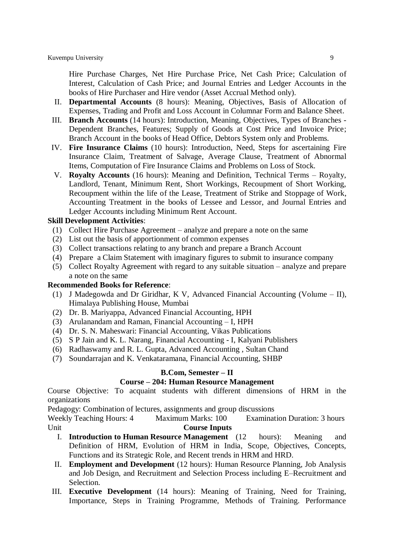Hire Purchase Charges, Net Hire Purchase Price, Net Cash Price; Calculation of Interest, Calculation of Cash Price; and Journal Entries and Ledger Accounts in the books of Hire Purchaser and Hire vendor (Asset Accrual Method only).

- II. **Departmental Accounts** (8 hours): Meaning, Objectives, Basis of Allocation of Expenses, Trading and Profit and Loss Account in Columnar Form and Balance Sheet.
- III. **Branch Accounts** (14 hours): Introduction, Meaning, Objectives, Types of Branches Dependent Branches, Features; Supply of Goods at Cost Price and Invoice Price; Branch Account in the books of Head Office, Debtors System only and Problems.
- IV. **Fire Insurance Claims** (10 hours): Introduction, Need, Steps for ascertaining Fire Insurance Claim, Treatment of Salvage, Average Clause, Treatment of Abnormal Items, Computation of Fire Insurance Claims and Problems on Loss of Stock.
- V. **Royalty Accounts** (16 hours): Meaning and Definition, Technical Terms Royalty, Landlord, Tenant, Minimum Rent, Short Workings, Recoupment of Short Working, Recoupment within the life of the Lease, Treatment of Strike and Stoppage of Work, Accounting Treatment in the books of Lessee and Lessor, and Journal Entries and Ledger Accounts including Minimum Rent Account.

#### **Skill Development Activities**:

- (1) Collect Hire Purchase Agreement analyze and prepare a note on the same
- (2) List out the basis of apportionment of common expenses
- (3) Collect transactions relating to any branch and prepare a Branch Account
- (4) Prepare a Claim Statement with imaginary figures to submit to insurance company
- (5) Collect Royalty Agreement with regard to any suitable situation analyze and prepare a note on the same

#### **Recommended Books for Reference**:

- (1) J Madegowda and Dr Giridhar, K V, Advanced Financial Accounting (Volume II), Himalaya Publishing House, Mumbai
- (2) Dr. B. Mariyappa, Advanced Financial Accounting, HPH
- (3) Arulanandam and Raman, Financial Accounting I, HPH
- (4) Dr. S. N. Maheswari: Financial Accounting, Vikas Publications
- (5) S P Jain and K. L. Narang, Financial Accounting I, Kalyani Publishers
- (6) Radhaswamy and R. L. Gupta, Advanced Accounting , Sultan Chand
- (7) Soundarrajan and K. Venkataramana, Financial Accounting, SHBP

# **B.Com, Semester – II**

#### **Course – 204: Human Resource Management**

Course Objective: To acquaint students with different dimensions of HRM in the organizations

Pedagogy: Combination of lectures, assignments and group discussions

- I. **Introduction to Human Resource Management** (12 hours): Meaning and Definition of HRM, Evolution of HRM in India, Scope, Objectives, Concepts, Functions and its Strategic Role, and Recent trends in HRM and HRD.
- II. **Employment and Development** (12 hours): Human Resource Planning, Job Analysis and Job Design, and Recruitment and Selection Process including E–Recruitment and Selection.
- III. **Executive Development** (14 hours): Meaning of Training, Need for Training, Importance, Steps in Training Programme, Methods of Training. Performance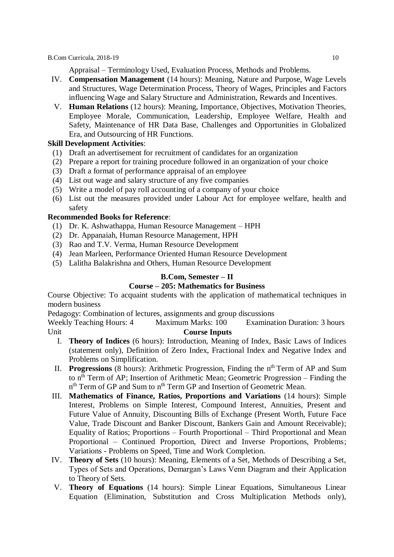Appraisal – Terminology Used, Evaluation Process, Methods and Problems.

- IV. **Compensation Management** (14 hours): Meaning, Nature and Purpose, Wage Levels and Structures, Wage Determination Process, Theory of Wages, Principles and Factors influencing Wage and Salary Structure and Administration, Rewards and Incentives.
- V. **Human Relations** (12 hours): Meaning, Importance, Objectives, Motivation Theories, Employee Morale, Communication, Leadership, Employee Welfare, Health and Safety, Maintenance of HR Data Base, Challenges and Opportunities in Globalized Era, and Outsourcing of HR Functions.

# **Skill Development Activities**:

- (1) Draft an advertisement for recruitment of candidates for an organization
- (2) Prepare a report for training procedure followed in an organization of your choice
- (3) Draft a format of performance appraisal of an employee
- (4) List out wage and salary structure of any five companies
- (5) Write a model of pay roll accounting of a company of your choice
- (6) List out the measures provided under Labour Act for employee welfare, health and safety

# **Recommended Books for Reference**:

- (1) Dr. K. Ashwathappa, Human Resource Management HPH
- (2) Dr. Appanaiah, Human Resource Management, HPH
- (3) Rao and T.V. Verma, Human Resource Development
- (4) Jean Marleen, Performance Oriented Human Resource Development
- (5) Lalitha Balakrishna and Others, Human Resource Development

# **B.Com, Semester – II**

# **Course – 205: Mathematics for Business**

Course Objective: To acquaint students with the application of mathematical techniques in modern business

Pedagogy: Combination of lectures, assignments and group discussions

- I. **Theory of Indices** (6 hours): Introduction, Meaning of Index, Basic Laws of Indices (statement only), Definition of Zero Index, Fractional Index and Negative Index and Problems on Simplification.
- II. Progressions (8 hours): Arithmetic Progression, Finding the n<sup>th</sup> Term of AP and Sum to n<sup>th</sup> Term of AP; Insertion of Arithmetic Mean; Geometric Progression – Finding the n<sup>th</sup> Term of GP and Sum to n<sup>th</sup> Term GP and Insertion of Geometric Mean.
- III. **Mathematics of Finance, Ratios, Proportions and Variations** (14 hours): Simple Interest, Problems on Simple Interest, Compound Interest, Annuities, Present and Future Value of Annuity, Discounting Bills of Exchange (Present Worth, Future Face Value, Trade Discount and Banker Discount, Bankers Gain and Amount Receivable); Equality of Ratios; Proportions – Fourth Proportional – Third Proportional and Mean Proportional – Continued Proportion, Direct and Inverse Proportions, Problems; Variations - Problems on Speed, Time and Work Completion.
- IV. **Theory of Sets** (10 hours): Meaning, Elements of a Set, Methods of Describing a Set, Types of Sets and Operations, Demargan's Laws Venn Diagram and their Application to Theory of Sets.
- V. **Theory of Equations** (14 hours): Simple Linear Equations, Simultaneous Linear Equation (Elimination, Substitution and Cross Multiplication Methods only),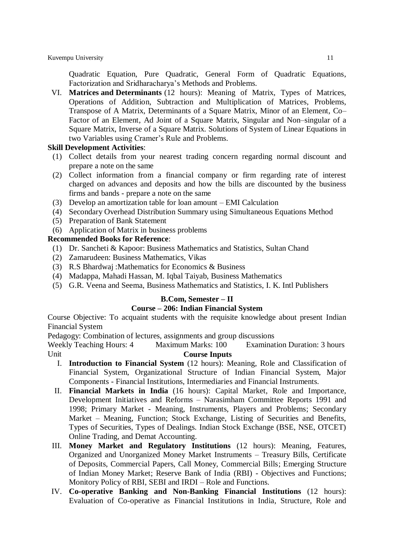Quadratic Equation, Pure Quadratic, General Form of Quadratic Equations, Factorization and Sridharacharya's Methods and Problems.

VI. **Matrices and Determinants** (12 hours): Meaning of Matrix, Types of Matrices, Operations of Addition, Subtraction and Multiplication of Matrices, Problems, Transpose of A Matrix, Determinants of a Square Matrix, Minor of an Element, Co– Factor of an Element, Ad Joint of a Square Matrix, Singular and Non–singular of a Square Matrix, Inverse of a Square Matrix. Solutions of System of Linear Equations in two Variables using Cramer's Rule and Problems.

#### **Skill Development Activities**:

- (1) Collect details from your nearest trading concern regarding normal discount and prepare a note on the same
- (2) Collect information from a financial company or firm regarding rate of interest charged on advances and deposits and how the bills are discounted by the business firms and bands - prepare a note on the same
- (3) Develop an amortization table for loan amount EMI Calculation
- (4) Secondary Overhead Distribution Summary using Simultaneous Equations Method
- (5) Preparation of Bank Statement
- (6) Application of Matrix in business problems

# **Recommended Books for Reference**:

- (1) Dr. Sancheti & Kapoor: Business Mathematics and Statistics, Sultan Chand
- (2) Zamarudeen: Business Mathematics, Vikas
- (3) R.S Bhardwaj :Mathematics for Economics & Business
- (4) Madappa, Mahadi Hassan, M. Iqbal Taiyab, Business Mathematics
- (5) G.R. Veena and Seema, Business Mathematics and Statistics, I. K. Intl Publishers

#### **B.Com, Semester – II**

#### **Course – 206: Indian Financial System**

Course Objective: To acquaint students with the requisite knowledge about present Indian Financial System

Pedagogy: Combination of lectures, assignments and group discussions

- I. **Introduction to Financial System** (12 hours): Meaning, Role and Classification of Financial System, Organizational Structure of Indian Financial System, Major Components - Financial Institutions, Intermediaries and Financial Instruments.
- II. **Financial Markets in India** (16 hours): Capital Market, Role and Importance, Development Initiatives and Reforms – Narasimham Committee Reports 1991 and 1998; Primary Market - Meaning, Instruments, Players and Problems; Secondary Market – Meaning, Function; Stock Exchange, Listing of Securities and Benefits, Types of Securities, Types of Dealings. Indian Stock Exchange (BSE, NSE, OTCET) Online Trading, and Demat Accounting.
- III. **Money Market and Regulatory Institutions** (12 hours): Meaning, Features, Organized and Unorganized Money Market Instruments – Treasury Bills, Certificate of Deposits, Commercial Papers, Call Money, Commercial Bills; Emerging Structure of Indian Money Market; Reserve Bank of India (RBI) - Objectives and Functions; Monitory Policy of RBI, SEBI and IRDI – Role and Functions.
- IV. **Co-operative Banking and Non-Banking Financial Institutions** (12 hours): Evaluation of Co-operative as Financial Institutions in India, Structure, Role and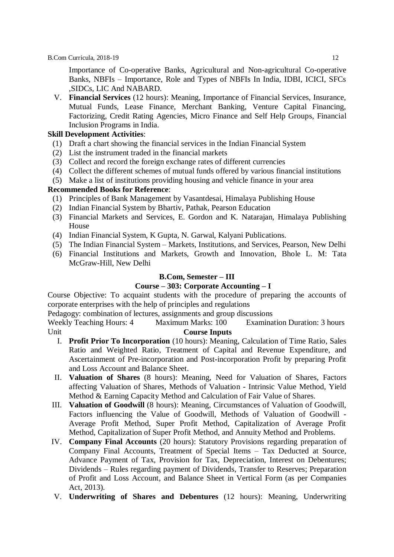Importance of Co-operative Banks, Agricultural and Non-agricultural Co-operative Banks, NBFIs – Importance, Role and Types of NBFIs In India, IDBI, ICICI, SFCs ,SIDCs, LIC And NABARD.

V. **Financial Services** (12 hours): Meaning, Importance of Financial Services, Insurance, Mutual Funds, Lease Finance, Merchant Banking, Venture Capital Financing, Factorizing, Credit Rating Agencies, Micro Finance and Self Help Groups, Financial Inclusion Programs in India.

# **Skill Development Activities**:

- (1) Draft a chart showing the financial services in the Indian Financial System
- (2) List the instrument traded in the financial markets
- (3) Collect and record the foreign exchange rates of different currencies
- (4) Collect the different schemes of mutual funds offered by various financial institutions
- (5) Make a list of institutions providing housing and vehicle finance in your area

# **Recommended Books for Reference**:

- (1) Principles of Bank Management by Vasantdesai, Himalaya Publishing House
- (2) Indian Financial System by Bhartiv, Pathak, Pearson Education
- (3) Financial Markets and Services, E. Gordon and K. Natarajan, Himalaya Publishing House
- (4) Indian Financial System, K Gupta, N. Garwal, Kalyani Publications.
- (5) The Indian Financial System Markets, Institutions, and Services, Pearson, New Delhi
- (6) Financial Institutions and Markets, Growth and Innovation, Bhole L. M: Tata McGraw-Hill, New Delhi

# **B.Com, Semester – III**

#### **Course – 303: Corporate Accounting – I**

Course Objective: To acquaint students with the procedure of preparing the accounts of corporate enterprises with the help of principles and regulations

Pedagogy: combination of lectures, assignments and group discussions

- I. **Profit Prior To Incorporation** (10 hours): Meaning, Calculation of Time Ratio, Sales Ratio and Weighted Ratio, Treatment of Capital and Revenue Expenditure, and Ascertainment of Pre-incorporation and Post-incorporation Profit by preparing Profit and Loss Account and Balance Sheet.
- II. **Valuation of Shares** (8 hours): Meaning, Need for Valuation of Shares, Factors affecting Valuation of Shares, Methods of Valuation - Intrinsic Value Method, Yield Method & Earning Capacity Method and Calculation of Fair Value of Shares.
- III. **Valuation of Goodwill** (8 hours): Meaning, Circumstances of Valuation of Goodwill, Factors influencing the Value of Goodwill, Methods of Valuation of Goodwill - Average Profit Method, Super Profit Method, Capitalization of Average Profit Method, Capitalization of Super Profit Method, and Annuity Method and Problems.
- IV. **Company Final Accounts** (20 hours): Statutory Provisions regarding preparation of Company Final Accounts, Treatment of Special Items – Tax Deducted at Source, Advance Payment of Tax, Provision for Tax, Depreciation, Interest on Debentures; Dividends – Rules regarding payment of Dividends, Transfer to Reserves; Preparation of Profit and Loss Account, and Balance Sheet in Vertical Form (as per Companies Act, 2013).
- V. **Underwriting of Shares and Debentures** (12 hours): Meaning, Underwriting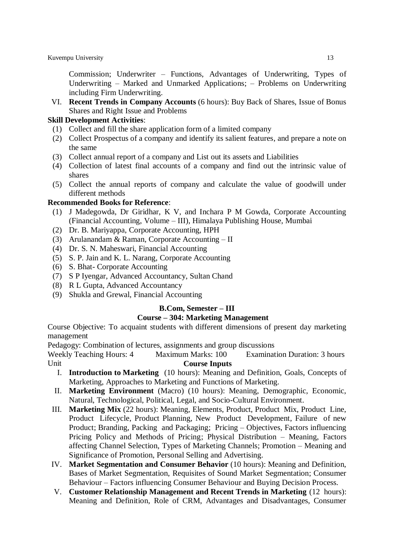Commission; Underwriter – Functions, Advantages of Underwriting, Types of Underwriting – Marked and Unmarked Applications; – Problems on Underwriting including Firm Underwriting.

VI. **Recent Trends in Company Accounts** (6 hours): Buy Back of Shares, Issue of Bonus Shares and Right Issue and Problems

#### **Skill Development Activities**:

- (1) Collect and fill the share application form of a limited company
- (2) Collect Prospectus of a company and identify its salient features, and prepare a note on the same
- (3) Collect annual report of a company and List out its assets and Liabilities
- (4) Collection of latest final accounts of a company and find out the intrinsic value of shares
- (5) Collect the annual reports of company and calculate the value of goodwill under different methods

# **Recommended Books for Reference**:

- (1) J Madegowda, Dr Giridhar, K V, and Inchara P M Gowda, Corporate Accounting (Financial Accounting, Volume – III), Himalaya Publishing House, Mumbai
- (2) Dr. B. Mariyappa, Corporate Accounting, HPH
- (3) Arulanandam & Raman, Corporate Accounting II
- (4) Dr. S. N. Maheswari, Financial Accounting
- (5) S. P. Jain and K. L. Narang, Corporate Accounting
- (6) S. Bhat- Corporate Accounting
- (7) S P Iyengar, Advanced Accountancy, Sultan Chand
- (8) R L Gupta, Advanced Accountancy
- (9) Shukla and Grewal, Financial Accounting

# **B.Com, Semester – III**

#### **Course – 304: Marketing Management**

Course Objective: To acquaint students with different dimensions of present day marketing management

Pedagogy: Combination of lectures, assignments and group discussions

- Weekly Teaching Hours: 4 Maximum Marks: 100 Examination Duration: 3 hours Unit **Course Inputs** 
	- I. **Introduction to Marketing** (10 hours): Meaning and Definition, Goals, Concepts of Marketing, Approaches to Marketing and Functions of Marketing.
	- II. **Marketing Environment** (Macro) (10 hours): Meaning, Demographic, Economic, Natural, Technological, Political, Legal, and Socio-Cultural Environment.
	- III. **Marketing Mix** (22 hours): Meaning, Elements, Product, Product Mix, Product Line, Product Lifecycle, Product Planning, New Product Development, Failure of new Product; Branding, Packing and Packaging; Pricing – Objectives, Factors influencing Pricing Policy and Methods of Pricing; Physical Distribution – Meaning, Factors affecting Channel Selection, Types of Marketing Channels; Promotion – Meaning and Significance of Promotion, Personal Selling and Advertising.
	- IV. **Market Segmentation and Consumer Behavior** (10 hours): Meaning and Definition, Bases of Market Segmentation, Requisites of Sound Market Segmentation; Consumer Behaviour – Factors influencing Consumer Behaviour and Buying Decision Process.
	- V. **Customer Relationship Management and Recent Trends in Marketing** (12 hours): Meaning and Definition, Role of CRM, Advantages and Disadvantages, Consumer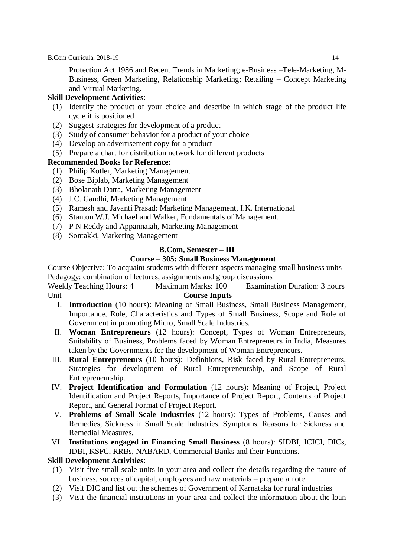Protection Act 1986 and Recent Trends in Marketing; e-Business –Tele-Marketing, M-Business, Green Marketing, Relationship Marketing; Retailing – Concept Marketing and Virtual Marketing.

# **Skill Development Activities**:

- (1) Identify the product of your choice and describe in which stage of the product life cycle it is positioned
- (2) Suggest strategies for development of a product
- (3) Study of consumer behavior for a product of your choice
- (4) Develop an advertisement copy for a product
- (5) Prepare a chart for distribution network for different products

# **Recommended Books for Reference**:

- (1) Philip Kotler, Marketing Management
- (2) Bose Biplab, Marketing Management
- (3) Bholanath Datta, Marketing Management
- (4) J.C. Gandhi, Marketing Management
- (5) Ramesh and Jayanti Prasad: Marketing Management, I.K. International
- (6) Stanton W.J. Michael and Walker, Fundamentals of Management.
- (7) P N Reddy and Appannaiah, Marketing Management
- (8) Sontakki, Marketing Management

# **B.Com, Semester – III**

# **Course – 305: Small Business Management**

Course Objective: To acquaint students with different aspects managing small business units Pedagogy: combination of lectures, assignments and group discussions

Weekly Teaching Hours: 4 Maximum Marks: 100 Examination Duration: 3 hours Unit **Course Inputs** 

- I. **Introduction** (10 hours): Meaning of Small Business, Small Business Management, Importance, Role, Characteristics and Types of Small Business, Scope and Role of Government in promoting Micro, Small Scale Industries.
- II. **Woman Entrepreneurs** (12 hours): Concept, Types of Woman Entrepreneurs, Suitability of Business, Problems faced by Woman Entrepreneurs in India, Measures taken by the Governments for the development of Woman Entrepreneurs.
- III. **Rural Entrepreneurs** (10 hours): Definitions, Risk faced by Rural Entrepreneurs, Strategies for development of Rural Entrepreneurship, and Scope of Rural Entrepreneurship.
- IV. **Project Identification and Formulation** (12 hours): Meaning of Project, Project Identification and Project Reports, Importance of Project Report, Contents of Project Report, and General Format of Project Report.
- V. **Problems of Small Scale Industries** (12 hours): Types of Problems, Causes and Remedies, Sickness in Small Scale Industries, Symptoms, Reasons for Sickness and Remedial Measures.
- VI. **Institutions engaged in Financing Small Business** (8 hours): SIDBI, ICICI, DICs, IDBI, KSFC, RRBs, NABARD, Commercial Banks and their Functions.

# **Skill Development Activities**:

- (1) Visit five small scale units in your area and collect the details regarding the nature of business, sources of capital, employees and raw materials – prepare a note
- (2) Visit DIC and list out the schemes of Government of Karnataka for rural industries
- (3) Visit the financial institutions in your area and collect the information about the loan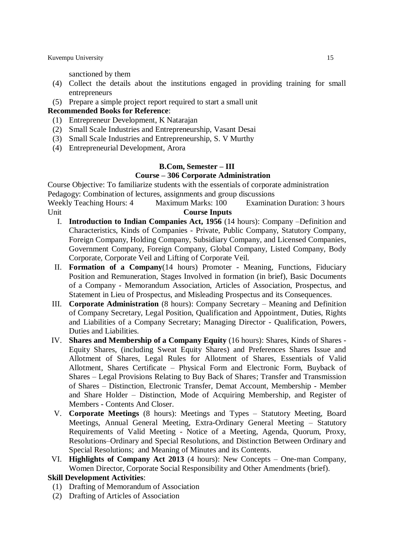sanctioned by them

- (4) Collect the details about the institutions engaged in providing training for small entrepreneurs
- (5) Prepare a simple project report required to start a small unit

# **Recommended Books for Reference**:

- (1) Entrepreneur Development, K Natarajan
- (2) Small Scale Industries and Entrepreneurship, Vasant Desai
- (3) Small Scale Industries and Entrepreneurship, S. V Murthy
- (4) Entrepreneurial Development, Arora

# **B.Com, Semester – III Course – 306 Corporate Administration**

Course Objective: To familiarize students with the essentials of corporate administration Pedagogy: Combination of lectures, assignments and group discussions

Weekly Teaching Hours: 4 Maximum Marks: 100 Examination Duration: 3 hours Unit **Course Inputs** 

- I. **Introduction to Indian Companies Act, 1956** (14 hours): Company –Definition and Characteristics, Kinds of Companies - Private, Public Company, Statutory Company, Foreign Company, Holding Company, Subsidiary Company, and Licensed Companies, Government Company, Foreign Company, Global Company, Listed Company, Body Corporate, Corporate Veil and Lifting of Corporate Veil.
- II. **Formation of a Company**(14 hours) Promoter Meaning, Functions, Fiduciary Position and Remuneration, Stages Involved in formation (in brief), Basic Documents of a Company - Memorandum Association, Articles of Association, Prospectus, and Statement in Lieu of Prospectus, and Misleading Prospectus and its Consequences.
- III. **Corporate Administration** (8 hours): Company Secretary Meaning and Definition of Company Secretary, Legal Position, Qualification and Appointment, Duties, Rights and Liabilities of a Company Secretary; Managing Director - Qualification, Powers, Duties and Liabilities.
- IV. **Shares and Membership of a Company Equity** (16 hours): Shares, Kinds of Shares Equity Shares, (including Sweat Equity Shares) and Preferences Shares Issue and Allotment of Shares, Legal Rules for Allotment of Shares, Essentials of Valid Allotment, Shares Certificate – Physical Form and Electronic Form, Buyback of Shares – Legal Provisions Relating to Buy Back of Shares; Transfer and Transmission of Shares – Distinction, Electronic Transfer, Demat Account, Membership - Member and Share Holder – Distinction, Mode of Acquiring Membership, and Register of Members - Contents And Closer.
- V. **Corporate Meetings** (8 hours): Meetings and Types Statutory Meeting, Board Meetings, Annual General Meeting, Extra-Ordinary General Meeting – Statutory Requirements of Valid Meeting - Notice of a Meeting, Agenda, Quorum, Proxy, Resolutions–Ordinary and Special Resolutions, and Distinction Between Ordinary and Special Resolutions; and Meaning of Minutes and its Contents.
- VI. **Highlights of Company Act 2013** (4 hours): New Concepts One-man Company, Women Director, Corporate Social Responsibility and Other Amendments (brief).

#### **Skill Development Activities**:

- (1) Drafting of Memorandum of Association
- (2) Drafting of Articles of Association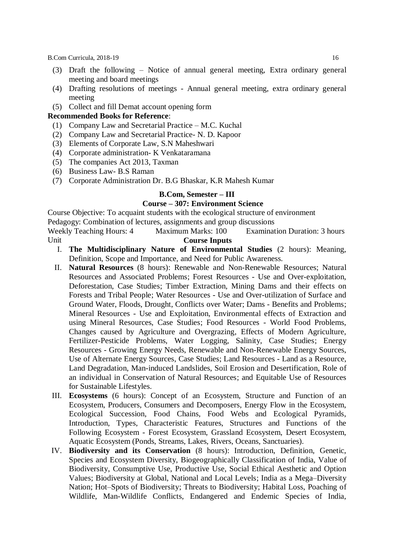- (3) Draft the following Notice of annual general meeting, Extra ordinary general meeting and board meetings
- (4) Drafting resolutions of meetings Annual general meeting, extra ordinary general meeting
- (5) Collect and fill Demat account opening form

#### **Recommended Books for Reference**:

- (1) Company Law and Secretarial Practice M.C. Kuchal
- (2) Company Law and Secretarial Practice- N. D. Kapoor
- (3) Elements of Corporate Law, S.N Maheshwari
- (4) Corporate administration- K Venkataramana
- (5) The companies Act 2013, Taxman
- (6) Business Law- B.S Raman
- (7) Corporate Administration Dr. B.G Bhaskar, K.R Mahesh Kumar

#### **B.Com, Semester – III**

#### **Course – 307: Environment Science**

Course Objective: To acquaint students with the ecological structure of environment Pedagogy: Combination of lectures, assignments and group discussions

- Weekly Teaching Hours: 4 Maximum Marks: 100 Examination Duration: 3 hours Unit **Course Inputs** 
	- I. **The Multidisciplinary Nature of Environmental Studies** (2 hours): Meaning, Definition, Scope and Importance, and Need for Public Awareness.
	- II. **Natural Resources** (8 hours): Renewable and Non-Renewable Resources; Natural Resources and Associated Problems; Forest Resources - Use and Over-exploitation, Deforestation, Case Studies; Timber Extraction, Mining Dams and their effects on Forests and Tribal People; Water Resources - Use and Over-utilization of Surface and Ground Water, Floods, Drought, Conflicts over Water; Dams - Benefits and Problems; Mineral Resources - Use and Exploitation, Environmental effects of Extraction and using Mineral Resources, Case Studies; Food Resources - World Food Problems, Changes caused by Agriculture and Overgrazing, Effects of Modern Agriculture, Fertilizer-Pesticide Problems, Water Logging, Salinity, Case Studies; Energy Resources - Growing Energy Needs, Renewable and Non-Renewable Energy Sources, Use of Alternate Energy Sources, Case Studies; Land Resources - Land as a Resource, Land Degradation, Man-induced Landslides, Soil Erosion and Desertification, Role of an individual in Conservation of Natural Resources; and Equitable Use of Resources for Sustainable Lifestyles.
	- III. **Ecosystems** (6 hours): Concept of an Ecosystem, Structure and Function of an Ecosystem, Producers, Consumers and Decomposers, Energy Flow in the Ecosystem, Ecological Succession, Food Chains, Food Webs and Ecological Pyramids, Introduction, Types, Characteristic Features, Structures and Functions of the Following Ecosystem - Forest Ecosystem, Grassland Ecosystem, Desert Ecosystem, Aquatic Ecosystem (Ponds, Streams, Lakes, Rivers, Oceans, Sanctuaries).
	- IV. **Biodiversity and its Conservation** (8 hours): Introduction, Definition, Genetic, Species and Ecosystem Diversity, Biogeographically Classification of India, Value of Biodiversity, Consumptive Use, Productive Use, Social Ethical Aesthetic and Option Values; Biodiversity at Global, National and Local Levels; India as a Mega–Diversity Nation; Hot–Spots of Biodiversity; Threats to Biodiversity; Habital Loss, Poaching of Wildlife, Man-Wildlife Conflicts, Endangered and Endemic Species of India,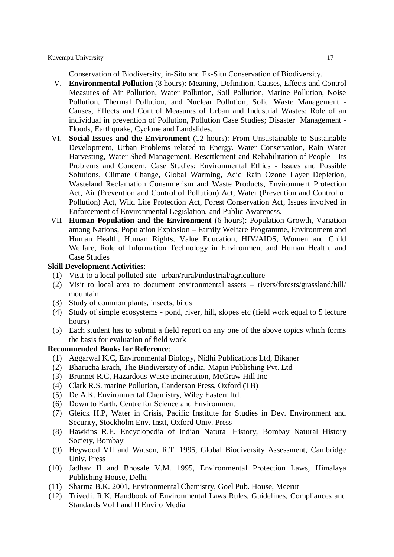Conservation of Biodiversity, in-Situ and Ex-Situ Conservation of Biodiversity.

- V. **Environmental Pollution** (8 hours): Meaning, Definition, Causes, Effects and Control Measures of Air Pollution, Water Pollution, Soil Pollution, Marine Pollution, Noise Pollution, Thermal Pollution, and Nuclear Pollution; Solid Waste Management - Causes, Effects and Control Measures of Urban and Industrial Wastes; Role of an individual in prevention of Pollution, Pollution Case Studies; Disaster Management - Floods, Earthquake, Cyclone and Landslides.
- VI. **Social Issues and the Environment** (12 hours): From Unsustainable to Sustainable Development, Urban Problems related to Energy. Water Conservation, Rain Water Harvesting, Water Shed Management, Resettlement and Rehabilitation of People - Its Problems and Concern, Case Studies; Environmental Ethics - Issues and Possible Solutions, Climate Change, Global Warming, Acid Rain Ozone Layer Depletion, Wasteland Reclamation Consumerism and Waste Products, Environment Protection Act, Air (Prevention and Control of Pollution) Act, Water (Prevention and Control of Pollution) Act, Wild Life Protection Act, Forest Conservation Act, Issues involved in Enforcement of Environmental Legislation, and Public Awareness.
- VII **Human Population and the Environment** (6 hours): Population Growth, Variation among Nations, Population Explosion – Family Welfare Programme, Environment and Human Health, Human Rights, Value Education, HIV/AIDS, Women and Child Welfare, Role of Information Technology in Environment and Human Health, and Case Studies

#### **Skill Development Activities**:

- (1) Visit to a local polluted site -urban/rural/industrial/agriculture
- (2) Visit to local area to document environmental assets rivers/forests/grassland/hill/ mountain
- (3) Study of common plants, insects, birds
- (4) Study of simple ecosystems pond, river, hill, slopes etc (field work equal to 5 lecture hours)
- (5) Each student has to submit a field report on any one of the above topics which forms the basis for evaluation of field work

- (1) Aggarwal K.C, Environmental Biology, Nidhi Publications Ltd, Bikaner
- (2) Bharucha Erach, The Biodiversity of India, Mapin Publishing Pvt. Ltd
- (3) Brunnet R.C, Hazardous Waste incineration, McGraw Hill Inc
- (4) Clark R.S. marine Pollution, Canderson Press, Oxford (TB)
- (5) De A.K. Environmental Chemistry, Wiley Eastern ltd.
- (6) Down to Earth, Centre for Science and Environment
- (7) Gleick H.P, Water in Crisis, Pacific Institute for Studies in Dev. Environment and Security, Stockholm Env. Instt, Oxford Univ. Press
- (8) Hawkins R.E. Encyclopedia of Indian Natural History, Bombay Natural History Society, Bombay
- (9) Heywood VII and Watson, R.T. 1995, Global Biodiversity Assessment, Cambridge Univ. Press
- (10) Jadhav II and Bhosale V.M. 1995, Environmental Protection Laws, Himalaya Publishing House, Delhi
- (11) Sharma B.K. 2001, Environmental Chemistry, Goel Pub. House, Meerut
- (12) Trivedi. R.K, Handbook of Environmental Laws Rules, Guidelines, Compliances and Standards Vol I and II Enviro Media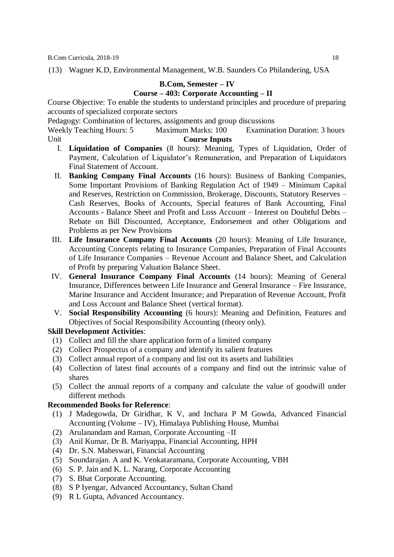(13) Wagner K.D, Environmental Management, W.B. Saunders Co Philandering, USA

#### **B.Com, Semester – IV Course – 403: Corporate Accounting – II**

Course Objective: To enable the students to understand principles and procedure of preparing accounts of specialized corporate sectors

Pedagogy: Combination of lectures, assignments and group discussions

Weekly Teaching Hours: 5 Maximum Marks: 100 Examination Duration: 3 hours Unit **Course Inputs** 

- I. **Liquidation of Companies** (8 hours): Meaning, Types of Liquidation, Order of Payment, Calculation of Liquidator's Remuneration, and Preparation of Liquidators Final Statement of Account.
- II. **Banking Company Final Accounts** (16 hours): Business of Banking Companies, Some Important Provisions of Banking Regulation Act of 1949 – Minimum Capital and Reserves, Restriction on Commission, Brokerage, Discounts, Statutory Reserves – Cash Reserves, Books of Accounts, Special features of Bank Accounting, Final Accounts - Balance Sheet and Profit and Loss Account – Interest on Doubtful Debts – Rebate on Bill Discounted, Acceptance, Endorsement and other Obligations and Problems as per New Provisions
- III. **Life Insurance Company Final Accounts** (20 hours): Meaning of Life Insurance, Accounting Concepts relating to Insurance Companies, Preparation of Final Accounts of Life Insurance Companies – Revenue Account and Balance Sheet, and Calculation of Profit by preparing Valuation Balance Sheet.
- IV. **General Insurance Company Final Accounts** (14 hours): Meaning of General Insurance, Differences between Life Insurance and General Insurance – Fire Insurance, Marine Insurance and Accident Insurance; and Preparation of Revenue Account, Profit and Loss Account and Balance Sheet (vertical format).
- V. **Social Responsibility Accounting** (6 hours): Meaning and Definition, Features and Objectives of Social Responsibility Accounting (theory only).

# **Skill Development Activities**:

- (1) Collect and fill the share application form of a limited company
- (2) Collect Prospectus of a company and identify its salient features
- (3) Collect annual report of a company and list out its assets and liabilities
- (4) Collection of latest final accounts of a company and find out the intrinsic value of shares
- (5) Collect the annual reports of a company and calculate the value of goodwill under different methods

- (1) J Madegowda, Dr Giridhar, K V, and Inchara P M Gowda, Advanced Financial Accounting (Volume – IV), Himalaya Publishing House, Mumbai
- (2) Arulanandam and Raman, Corporate Accounting –II
- (3) Anil Kumar, Dr B. Mariyappa, Financial Accounting, HPH
- (4) Dr. S.N. Maheswari, Financial Accounting
- (5) Soundarajan. A and K. Venkataramana, Corporate Accounting, VBH
- (6) S. P. Jain and K. L. Narang, Corporate Accounting
- (7) S. Bhat Corporate Accounting.
- (8) S P Iyengar, Advanced Accountancy, Sultan Chand
- (9) R L Gupta, Advanced Accountancy.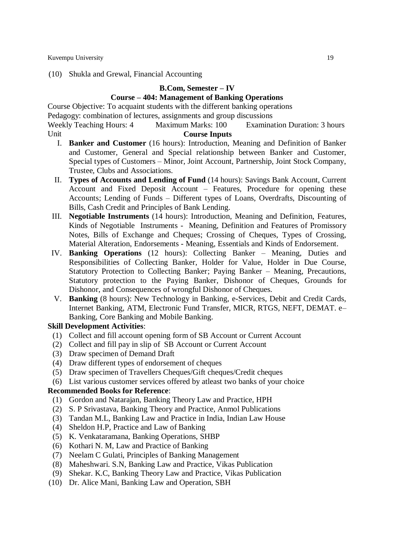#### (10) Shukla and Grewal, Financial Accounting

#### **B.Com, Semester – IV**

# **Course – 404: Management of Banking Operations**

Course Objective: To acquaint students with the different banking operations

Pedagogy: combination of lectures, assignments and group discussions

Weekly Teaching Hours: 4 Maximum Marks: 100 Examination Duration: 3 hours Unit **Course Inputs** 

- I. **Banker and Customer** (16 hours): Introduction, Meaning and Definition of Banker and Customer, General and Special relationship between Banker and Customer, Special types of Customers – Minor, Joint Account, Partnership, Joint Stock Company, Trustee, Clubs and Associations.
- II. **Types of Accounts and Lending of Fund** (14 hours): Savings Bank Account, Current Account and Fixed Deposit Account – Features, Procedure for opening these Accounts; Lending of Funds – Different types of Loans, Overdrafts, Discounting of Bills, Cash Credit and Principles of Bank Lending.
- III. **Negotiable Instruments** (14 hours): Introduction, Meaning and Definition, Features, Kinds of Negotiable Instruments - Meaning, Definition and Features of Promissory Notes, Bills of Exchange and Cheques; Crossing of Cheques, Types of Crossing, Material Alteration, Endorsements - Meaning, Essentials and Kinds of Endorsement.
- IV. **Banking Operations** (12 hours): Collecting Banker Meaning, Duties and Responsibilities of Collecting Banker, Holder for Value, Holder in Due Course, Statutory Protection to Collecting Banker; Paying Banker – Meaning, Precautions, Statutory protection to the Paying Banker, Dishonor of Cheques, Grounds for Dishonor, and Consequences of wrongful Dishonor of Cheques.
- V. **Banking** (8 hours): New Technology in Banking, e-Services, Debit and Credit Cards, Internet Banking, ATM, Electronic Fund Transfer, MICR, RTGS, NEFT, DEMAT. e– Banking, Core Banking and Mobile Banking.

#### **Skill Development Activities**:

- (1) Collect and fill account opening form of SB Account or Current Account
- (2) Collect and fill pay in slip of SB Account or Current Account
- (3) Draw specimen of Demand Draft
- (4) Draw different types of endorsement of cheques
- (5) Draw specimen of Travellers Cheques/Gift cheques/Credit cheques
- (6) List various customer services offered by atleast two banks of your choice

- (1) Gordon and Natarajan, Banking Theory Law and Practice, HPH
- (2) S. P Srivastava, Banking Theory and Practice, Anmol Publications
- (3) Tandan M.L, Banking Law and Practice in India, Indian Law House
- (4) Sheldon H.P, Practice and Law of Banking
- (5) K. Venkataramana, Banking Operations, SHBP
- (6) Kothari N. M, Law and Practice of Banking
- (7) Neelam C Gulati, Principles of Banking Management
- (8) Maheshwari. S.N, Banking Law and Practice, Vikas Publication
- (9) Shekar. K.C, Banking Theory Law and Practice, Vikas Publication
- (10) Dr. Alice Mani, Banking Law and Operation, SBH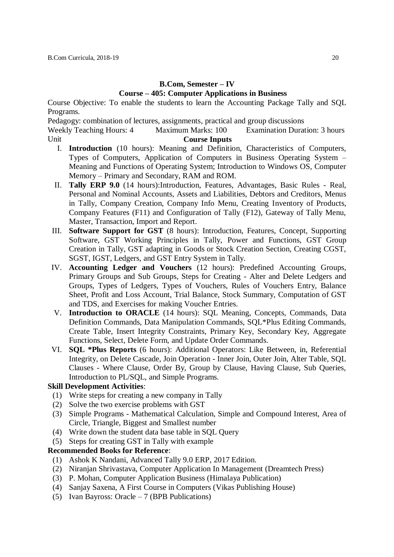# **B.Com, Semester – IV Course – 405: Computer Applications in Business**

Course Objective: To enable the students to learn the Accounting Package Tally and SQL Programs.

Pedagogy: combination of lectures, assignments, practical and group discussions

Weekly Teaching Hours: 4 Maximum Marks: 100 Examination Duration: 3 hours Unit **Course Inputs** 

- I. **Introduction** (10 hours): Meaning and Definition, Characteristics of Computers, Types of Computers, Application of Computers in Business Operating System – Meaning and Functions of Operating System; Introduction to Windows OS, Computer Memory – Primary and Secondary, RAM and ROM.
- II. **Tally ERP 9.0** (14 hours):Introduction, Features, Advantages, Basic Rules Real, Personal and Nominal Accounts, Assets and Liabilities, Debtors and Creditors, Menus in Tally, Company Creation, Company Info Menu, Creating Inventory of Products, Company Features (F11) and Configuration of Tally (F12), Gateway of Tally Menu, Master, Transaction, Import and Report.
- III. **Software Support for GST** (8 hours): Introduction, Features, Concept, Supporting Software, GST Working Principles in Tally, Power and Functions, GST Group Creation in Tally, GST adapting in Goods or Stock Creation Section, Creating CGST, SGST, IGST, Ledgers, and GST Entry System in Tally.
- IV. **Accounting Ledger and Vouchers** (12 hours): Predefined Accounting Groups, Primary Groups and Sub Groups, Steps for Creating - Alter and Delete Ledgers and Groups, Types of Ledgers, Types of Vouchers, Rules of Vouchers Entry, Balance Sheet, Profit and Loss Account, Trial Balance, Stock Summary, Computation of GST and TDS, and Exercises for making Voucher Entries.
- V. **Introduction to ORACLE** (14 hours): SQL Meaning, Concepts, Commands, Data Definition Commands, Data Manipulation Commands, SQL\*Plus Editing Commands, Create Table, Insert Integrity Constraints, Primary Key, Secondary Key, Aggregate Functions, Select, Delete Form, and Update Order Commands.
- VI. **SQL \*Plus Reports** (6 hours): Additional Operators: Like Between, in, Referential Integrity, on Delete Cascade, Join Operation - Inner Join, Outer Join, Alter Table, SQL Clauses - Where Clause, Order By, Group by Clause, Having Clause, Sub Queries, Introduction to PL/SQL, and Simple Programs.

#### **Skill Development Activities**:

- (1) Write steps for creating a new company in Tally
- (2) Solve the two exercise problems with GST
- (3) Simple Programs Mathematical Calculation, Simple and Compound Interest, Area of Circle, Triangle, Biggest and Smallest number
- (4) Write down the student data base table in SQL Query
- (5) Steps for creating GST in Tally with example

- (1) Ashok K Nandani, Advanced Tally 9.0 ERP, 2017 Edition.
- (2) Niranjan Shrivastava, Computer Application In Management (Dreamtech Press)
- (3) P. Mohan, Computer Application Business (Himalaya Publication)
- (4) Sanjay Saxena, A First Course in Computers (Vikas Publishing House)
- (5) Ivan Bayross: Oracle 7 (BPB Publications)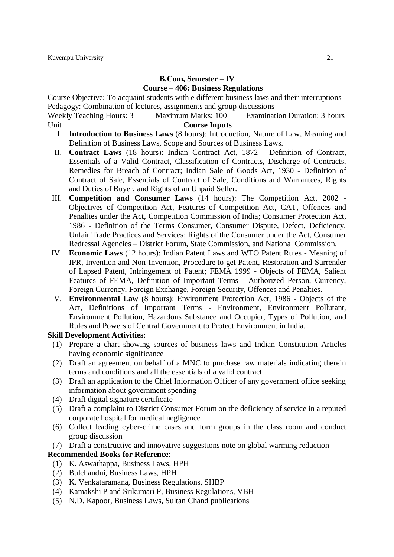# **B.Com, Semester – IV Course – 406: Business Regulations**

Course Objective: To acquaint students with e different business laws and their interruptions Pedagogy: Combination of lectures, assignments and group discussions

Weekly Teaching Hours: 3 Maximum Marks: 100 Examination Duration: 3 hours Unit **Course Inputs** 

- I. **Introduction to Business Laws** (8 hours): Introduction, Nature of Law, Meaning and Definition of Business Laws, Scope and Sources of Business Laws.
- II. **Contract Laws** (18 hours): Indian Contract Act, 1872 Definition of Contract, Essentials of a Valid Contract, Classification of Contracts, Discharge of Contracts, Remedies for Breach of Contract; Indian Sale of Goods Act, 1930 - Definition of Contract of Sale, Essentials of Contract of Sale, Conditions and Warrantees, Rights and Duties of Buyer, and Rights of an Unpaid Seller.
- III. **Competition and Consumer Laws** (14 hours): The Competition Act, 2002 Objectives of Competition Act, Features of Competition Act, CAT, Offences and Penalties under the Act, Competition Commission of India; Consumer Protection Act, 1986 - Definition of the Terms Consumer, Consumer Dispute, Defect, Deficiency, Unfair Trade Practices and Services; Rights of the Consumer under the Act, Consumer Redressal Agencies – District Forum, State Commission, and National Commission.
- IV. **Economic Laws** (12 hours): Indian Patent Laws and WTO Patent Rules Meaning of IPR, Invention and Non-Invention, Procedure to get Patent, Restoration and Surrender of Lapsed Patent, Infringement of Patent; FEMA 1999 - Objects of FEMA, Salient Features of FEMA, Definition of Important Terms - Authorized Person, Currency, Foreign Currency, Foreign Exchange, Foreign Security, Offences and Penalties.
- V. **Environmental Law** (8 hours): Environment Protection Act, 1986 Objects of the Act, Definitions of Important Terms - Environment, Environment Pollutant, Environment Pollution, Hazardous Substance and Occupier, Types of Pollution, and Rules and Powers of Central Government to Protect Environment in India.

#### **Skill Development Activities**:

- (1) Prepare a chart showing sources of business laws and Indian Constitution Articles having economic significance
- (2) Draft an agreement on behalf of a MNC to purchase raw materials indicating therein terms and conditions and all the essentials of a valid contract
- (3) Draft an application to the Chief Information Officer of any government office seeking information about government spending
- (4) Draft digital signature certificate
- (5) Draft a complaint to District Consumer Forum on the deficiency of service in a reputed corporate hospital for medical negligence
- (6) Collect leading cyber-crime cases and form groups in the class room and conduct group discussion
- (7) Draft a constructive and innovative suggestions note on global warming reduction

- (1) K. Aswathappa, Business Laws, HPH
- (2) Bulchandni, Business Laws, HPH
- (3) K. Venkataramana, Business Regulations, SHBP
- (4) Kamakshi P and Srikumari P, Business Regulations, VBH
- (5) N.D. Kapoor, Business Laws, Sultan Chand publications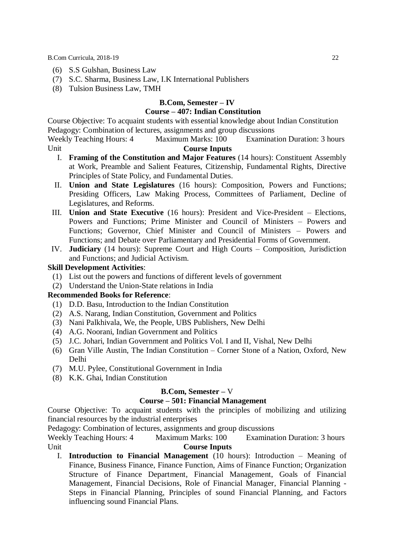- (6) S.S Gulshan, Business Law
- (7) S.C. Sharma, Business Law, I.K International Publishers
- (8) Tulsion Business Law, TMH

# **B.Com, Semester – IV**

#### **Course – 407: Indian Constitution**

Course Objective: To acquaint students with essential knowledge about Indian Constitution Pedagogy: Combination of lectures, assignments and group discussions

Weekly Teaching Hours: 4 Maximum Marks: 100 Examination Duration: 3 hours Unit **Course Inputs** 

- I. **Framing of the Constitution and Major Features** (14 hours): Constituent Assembly at Work, Preamble and Salient Features, Citizenship, Fundamental Rights, Directive Principles of State Policy, and Fundamental Duties.
- II. **Union and State Legislatures** (16 hours): Composition, Powers and Functions; Presiding Officers, Law Making Process, Committees of Parliament, Decline of Legislatures, and Reforms.
- III. **Union and State Executive** (16 hours): President and Vice-President Elections, Powers and Functions; Prime Minister and Council of Ministers – Powers and Functions; Governor, Chief Minister and Council of Ministers – Powers and Functions; and Debate over Parliamentary and Presidential Forms of Government.
- IV. **Judiciary** (14 hours): Supreme Court and High Courts Composition, Jurisdiction and Functions; and Judicial Activism.

# **Skill Development Activities**:

- (1) List out the powers and functions of different levels of government
- (2) Understand the Union-State relations in India

# **Recommended Books for Reference**:

- (1) D.D. Basu, Introduction to the Indian Constitution
- (2) A.S. Narang, Indian Constitution, Government and Politics
- (3) Nani Palkhivala, We, the People, UBS Publishers, New Delhi
- (4) A.G. Noorani, Indian Government and Politics
- (5) J.C. Johari, Indian Government and Politics Vol. I and II, Vishal, New Delhi
- (6) Gran Ville Austin, The Indian Constitution Corner Stone of a Nation, Oxford, New Delhi
- (7) M.U. Pylee, Constitutional Government in India
- (8) K.K. Ghai, Indian Constitution

#### **B.Com, Semester –** V

#### **Course – 501: Financial Management**

Course Objective: To acquaint students with the principles of mobilizing and utilizing financial resources by the industrial enterprises

Pedagogy: Combination of lectures, assignments and group discussions

Weekly Teaching Hours: 4 Maximum Marks: 100 Examination Duration: 3 hours Unit **Course Inputs** 

I. **Introduction to Financial Management** (10 hours): Introduction – Meaning of Finance, Business Finance, Finance Function, Aims of Finance Function; Organization Structure of Finance Department, Financial Management, Goals of Financial Management, Financial Decisions, Role of Financial Manager, Financial Planning - Steps in Financial Planning, Principles of sound Financial Planning, and Factors influencing sound Financial Plans.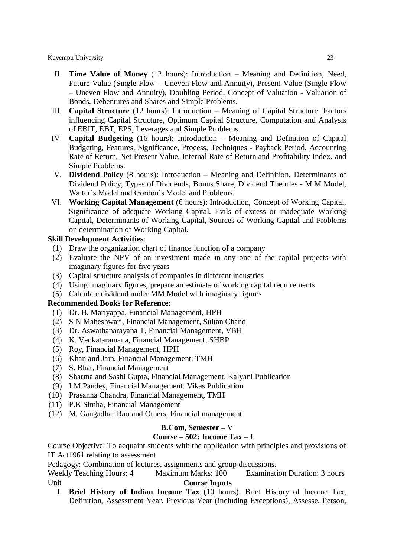- II. **Time Value of Money** (12 hours): Introduction Meaning and Definition, Need, Future Value (Single Flow – Uneven Flow and Annuity), Present Value (Single Flow – Uneven Flow and Annuity), Doubling Period, Concept of Valuation - Valuation of Bonds, Debentures and Shares and Simple Problems.
- III. **Capital Structure** (12 hours): Introduction Meaning of Capital Structure, Factors influencing Capital Structure, Optimum Capital Structure, Computation and Analysis of EBIT, EBT, EPS, Leverages and Simple Problems.
- IV. **Capital Budgeting** (16 hours): Introduction Meaning and Definition of Capital Budgeting, Features, Significance, Process, Techniques - Payback Period, Accounting Rate of Return, Net Present Value, Internal Rate of Return and Profitability Index, and Simple Problems.
- V. **Dividend Policy** (8 hours): Introduction Meaning and Definition, Determinants of Dividend Policy, Types of Dividends, Bonus Share, Dividend Theories - M.M Model, Walter's Model and Gordon's Model and Problems.
- VI. **Working Capital Management** (6 hours): Introduction, Concept of Working Capital, Significance of adequate Working Capital, Evils of excess or inadequate Working Capital, Determinants of Working Capital, Sources of Working Capital and Problems on determination of Working Capital.

#### **Skill Development Activities**:

- (1) Draw the organization chart of finance function of a company
- (2) Evaluate the NPV of an investment made in any one of the capital projects with imaginary figures for five years
- (3) Capital structure analysis of companies in different industries
- (4) Using imaginary figures, prepare an estimate of working capital requirements
- (5) Calculate dividend under MM Model with imaginary figures

#### **Recommended Books for Reference**:

- (1) Dr. B. Mariyappa, Financial Management, HPH
- (2) S N Maheshwari, Financial Management, Sultan Chand
- (3) Dr. Aswathanarayana T, Financial Management, VBH
- (4) K. Venkataramana, Financial Management, SHBP
- (5) Roy, Financial Management, HPH
- (6) Khan and Jain, Financial Management, TMH
- (7) S. Bhat, Financial Management
- (8) Sharma and Sashi Gupta, Financial Management, Kalyani Publication
- (9) I M Pandey, Financial Management. Vikas Publication
- (10) Prasanna Chandra, Financial Management, TMH
- (11) P.K Simha, Financial Management
- (12) M. Gangadhar Rao and Others, Financial management

#### **B.Com, Semester –** V

#### **Course – 502: Income Tax – I**

Course Objective: To acquaint students with the application with principles and provisions of IT Act1961 relating to assessment

Pedagogy: Combination of lectures, assignments and group discussions.

Weekly Teaching Hours: 4 Maximum Marks: 100 Examination Duration: 3 hours Unit **Course Inputs** 

I. **Brief History of Indian Income Tax** (10 hours): Brief History of Income Tax, Definition, Assessment Year, Previous Year (including Exceptions), Assesse, Person,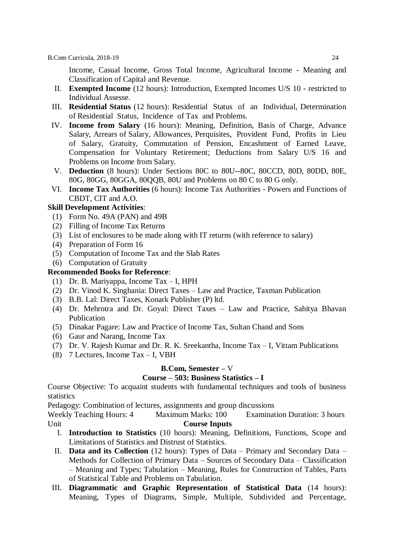Income, Casual Income, Gross Total Income, Agricultural Income - Meaning and Classification of Capital and Revenue.

- II. **Exempted Income** (12 hours): Introduction, Exempted Incomes U/S 10 restricted to Individual Assesse.
- III. **Residential Status** (12 hours): Residential Status of an Individual, Determination of Residential Status, Incidence of Tax and Problems.
- IV. **Income from Salary** (16 hours): Meaning, Definition, Basis of Charge, Advance Salary, Arrears of Salary, Allowances, Perquisites, Provident Fund, Profits in Lieu of Salary, Gratuity, Commutation of Pension, Encashment of Earned Leave, Compensation for Voluntary Retirement; Deductions from Salary U/S 16 and Problems on Income from Salary.
- V. **Deduction** (8 hours): Under Sections 80C to 80U--80C, 80CCD, 80D, 80DD, 80E, 80G, 80GG, 80GGA, 80QQB, 80U and Problems on 80 C to 80 G only.
- VI. **Income Tax Authorities** (6 hours): Income Tax Authorities Powers and Functions of CBDT, CIT and A.O.

#### **Skill Development Activities**:

- (1) Form No. 49A (PAN) and 49B
- (2) Filling of Income Tax Returns
- (3) List of enclosures to be made along with IT returns (with reference to salary)
- (4) Preparation of Form 16
- (5) Computation of Income Tax and the Slab Rates
- (6) Computation of Gratuity

# **Recommended Books for Reference**:

- (1) Dr. B. Mariyappa, Income Tax I, HPH
- (2) Dr. Vinod K. Singhania: Direct Taxes Law and Practice, Taxman Publication
- (3) B.B. Lal: Direct Taxes, Konark Publisher (P) ltd.
- (4) Dr. Mehrotra and Dr. Goyal: Direct Taxes Law and Practice, Sahitya Bhavan Publication
- (5) Dinakar Pagare: Law and Practice of Income Tax, Sultan Chand and Sons
- (6) Gaur and Narang, Income Tax
- (7) Dr. V. Rajesh Kumar and Dr. R. K. Sreekantha, Income Tax I, Vittam Publications
- (8) 7 Lectures, Income Tax I, VBH

#### **B.Com, Semester –** V

#### **Course – 503: Business Statistics – I**

Course Objective: To acquaint students with fundamental techniques and tools of business statistics

Pedagogy: Combination of lectures, assignments and group discussions

- I. **Introduction to Statistics** (10 hours): Meaning, Definitions, Functions, Scope and Limitations of Statistics and Distrust of Statistics.
- II. **Data and its Collection** (12 hours): Types of Data Primary and Secondary Data Methods for Collection of Primary Data – Sources of Secondary Data – Classification – Meaning and Types; Tabulation – Meaning, Rules for Construction of Tables, Parts of Statistical Table and Problems on Tabulation.
- III. **Diagrammatic and Graphic Representation of Statistical Data** (14 hours): Meaning, Types of Diagrams, Simple, Multiple, Subdivided and Percentage,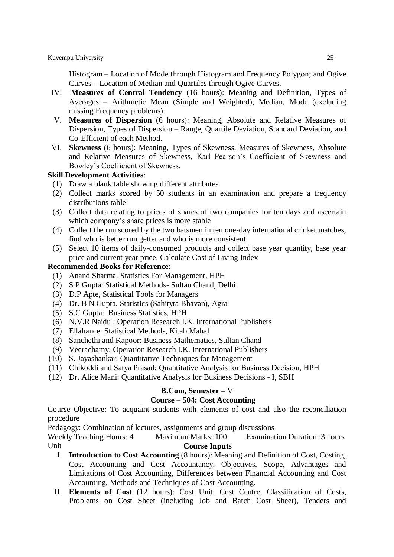Histogram – Location of Mode through Histogram and Frequency Polygon; and Ogive Curves – Location of Median and Quartiles through Ogive Curves.

- IV. **Measures of Central Tendency** (16 hours): Meaning and Definition, Types of Averages – Arithmetic Mean (Simple and Weighted), Median, Mode (excluding missing Frequency problems).
- V. **Measures of Dispersion** (6 hours): Meaning, Absolute and Relative Measures of Dispersion, Types of Dispersion – Range, Quartile Deviation, Standard Deviation, and Co-Efficient of each Method.
- VI. **Skewness** (6 hours): Meaning, Types of Skewness, Measures of Skewness, Absolute and Relative Measures of Skewness, Karl Pearson's Coefficient of Skewness and Bowley's Coefficient of Skewness.

#### **Skill Development Activities**:

- (1) Draw a blank table showing different attributes
- (2) Collect marks scored by 50 students in an examination and prepare a frequency distributions table
- (3) Collect data relating to prices of shares of two companies for ten days and ascertain which company's share prices is more stable
- (4) Collect the run scored by the two batsmen in ten one-day international cricket matches, find who is better run getter and who is more consistent
- (5) Select 10 items of daily-consumed products and collect base year quantity, base year price and current year price. Calculate Cost of Living Index

#### **Recommended Books for Reference**:

- (1) Anand Sharma, Statistics For Management, HPH
- (2) S P Gupta: Statistical Methods- Sultan Chand, Delhi
- (3) D.P Apte, Statistical Tools for Managers
- (4) Dr. B N Gupta, Statistics (Sahityta Bhavan), Agra
- (5) S.C Gupta: Business Statistics, HPH
- (6) N.V.R Naidu : Operation Research I.K. International Publishers
- (7) Ellahance: Statistical Methods, Kitab Mahal
- (8) Sanchethi and Kapoor: Business Mathematics, Sultan Chand
- (9) Veerachamy: Operation Research I.K. International Publishers
- (10) S. Jayashankar: Quantitative Techniques for Management
- (11) Chikoddi and Satya Prasad: Quantitative Analysis for Business Decision, HPH
- (12) Dr. Alice Mani: Quantitative Analysis for Business Decisions I, SBH

#### **B.Com, Semester –** V

#### **Course – 504: Cost Accounting**

Course Objective: To acquaint students with elements of cost and also the reconciliation procedure

Pedagogy: Combination of lectures, assignments and group discussions

- I. **Introduction to Cost Accounting** (8 hours): Meaning and Definition of Cost, Costing, Cost Accounting and Cost Accountancy, Objectives, Scope, Advantages and Limitations of Cost Accounting, Differences between Financial Accounting and Cost Accounting, Methods and Techniques of Cost Accounting.
- II. **Elements of Cost** (12 hours): Cost Unit, Cost Centre, Classification of Costs, Problems on Cost Sheet (including Job and Batch Cost Sheet), Tenders and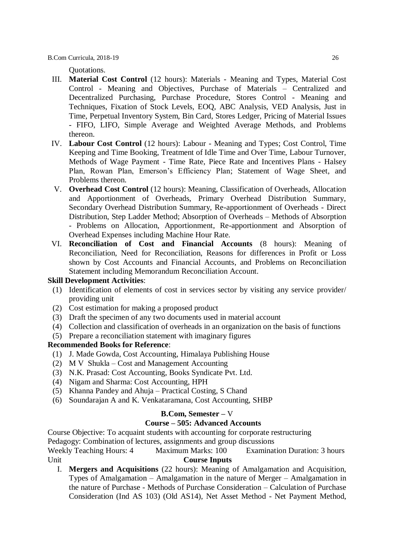Quotations.

- III. **Material Cost Control** (12 hours): Materials Meaning and Types, Material Cost Control - Meaning and Objectives, Purchase of Materials – Centralized and Decentralized Purchasing, Purchase Procedure, Stores Control - Meaning and Techniques, Fixation of Stock Levels, EOQ, ABC Analysis, VED Analysis, Just in Time, Perpetual Inventory System, Bin Card, Stores Ledger, Pricing of Material Issues - FIFO, LIFO, Simple Average and Weighted Average Methods, and Problems thereon.
- IV. **Labour Cost Control** (12 hours): Labour Meaning and Types; Cost Control, Time Keeping and Time Booking, Treatment of Idle Time and Over Time, Labour Turnover, Methods of Wage Payment - Time Rate, Piece Rate and Incentives Plans - Halsey Plan, Rowan Plan, Emerson's Efficiency Plan; Statement of Wage Sheet, and Problems thereon.
- V. **Overhead Cost Control** (12 hours): Meaning, Classification of Overheads, Allocation and Apportionment of Overheads, Primary Overhead Distribution Summary, Secondary Overhead Distribution Summary, Re-apportionment of Overheads - Direct Distribution, Step Ladder Method; Absorption of Overheads – Methods of Absorption - Problems on Allocation, Apportionment, Re-apportionment and Absorption of Overhead Expenses including Machine Hour Rate.
- VI. **Reconciliation of Cost and Financial Accounts** (8 hours): Meaning of Reconciliation, Need for Reconciliation, Reasons for differences in Profit or Loss shown by Cost Accounts and Financial Accounts, and Problems on Reconciliation Statement including Memorandum Reconciliation Account.

#### **Skill Development Activities**:

- (1) Identification of elements of cost in services sector by visiting any service provider/ providing unit
- (2) Cost estimation for making a proposed product
- (3) Draft the specimen of any two documents used in material account
- (4) Collection and classification of overheads in an organization on the basis of functions
- (5) Prepare a reconciliation statement with imaginary figures

#### **Recommended Books for Reference**:

- (1) J. Made Gowda, Cost Accounting, Himalaya Publishing House
- (2) M V Shukla Cost and Management Accounting
- (3) N.K. Prasad: Cost Accounting, Books Syndicate Pvt. Ltd.
- (4) Nigam and Sharma: Cost Accounting, HPH
- (5) Khanna Pandey and Ahuja Practical Costing, S Chand
- (6) Soundarajan A and K. Venkataramana, Cost Accounting, SHBP

#### **B.Com, Semester –** V

#### **Course – 505: Advanced Accounts**

Course Objective: To acquaint students with accounting for corporate restructuring

Pedagogy: Combination of lectures, assignments and group discussions

Weekly Teaching Hours: 4 Maximum Marks: 100 Examination Duration: 3 hours Unit **Course Inputs**

I. **Mergers and Acquisitions** (22 hours): Meaning of Amalgamation and Acquisition, Types of Amalgamation – Amalgamation in the nature of Merger – Amalgamation in the nature of Purchase - Methods of Purchase Consideration – Calculation of Purchase Consideration (Ind AS 103) (Old AS14), Net Asset Method - Net Payment Method,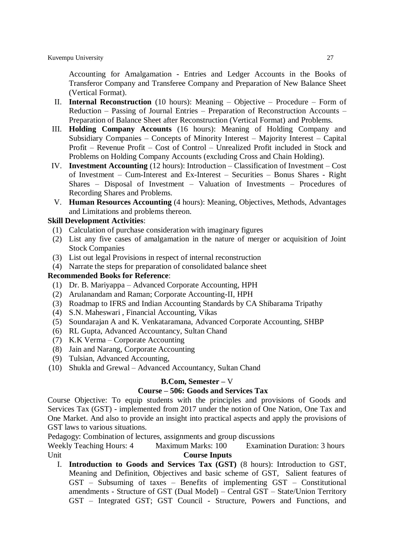Accounting for Amalgamation - Entries and Ledger Accounts in the Books of Transferor Company and Transferee Company and Preparation of New Balance Sheet (Vertical Format).

- II. **Internal Reconstruction** (10 hours): Meaning Objective Procedure Form of Reduction – Passing of Journal Entries – Preparation of Reconstruction Accounts – Preparation of Balance Sheet after Reconstruction (Vertical Format) and Problems.
- III. **Holding Company Accounts** (16 hours): Meaning of Holding Company and Subsidiary Companies – Concepts of Minority Interest – Majority Interest – Capital Profit – Revenue Profit – Cost of Control – Unrealized Profit included in Stock and Problems on Holding Company Accounts (excluding Cross and Chain Holding).
- IV. **Investment Accounting** (12 hours): Introduction Classification of Investment Cost of Investment – Cum-Interest and Ex-Interest – Securities – Bonus Shares - Right Shares – Disposal of Investment – Valuation of Investments – Procedures of Recording Shares and Problems.
- V. **Human Resources Accounting** (4 hours): Meaning, Objectives, Methods, Advantages and Limitations and problems thereon.

#### **Skill Development Activities**:

- (1) Calculation of purchase consideration with imaginary figures
- (2) List any five cases of amalgamation in the nature of merger or acquisition of Joint Stock Companies
- (3) List out legal Provisions in respect of internal reconstruction
- (4) Narrate the steps for preparation of consolidated balance sheet

#### **Recommended Books for Reference**:

- (1) Dr. B. Mariyappa Advanced Corporate Accounting, HPH
- (2) Arulanandam and Raman; Corporate Accounting-II, HPH
- (3) Roadmap to IFRS and Indian Accounting Standards by CA Shibarama Tripathy
- (4) S.N. Maheswari , Financial Accounting, Vikas
- (5) Soundarajan A and K. Venkataramana, Advanced Corporate Accounting, SHBP
- (6) RL Gupta, Advanced Accountancy, Sultan Chand
- (7) K.K Verma Corporate Accounting
- (8) Jain and Narang, Corporate Accounting
- (9) Tulsian, Advanced Accounting,
- (10) Shukla and Grewal Advanced Accountancy, Sultan Chand

#### **B.Com, Semester –** V

# **Course – 506: Goods and Services Tax**

1. Course Objective: To equip students with the principles and provisions of Goods and Services Tax (GST) - implemented from 2017 under the notion of One Nation, One Tax and One Market. And also to provide an insight into practical aspects and apply the provisions of GST laws to various situations.

Pedagogy: Combination of lectures, assignments and group discussions

Weekly Teaching Hours: 4 Maximum Marks: 100 Examination Duration: 3 hours Unit **Course Inputs** 

I. **Introduction to Goods and Services Tax (GST)** (8 hours): Introduction to GST, Meaning and Definition, Objectives and basic scheme of GST, Salient features of GST – Subsuming of taxes – Benefits of implementing GST – Constitutional amendments - Structure of GST (Dual Model) – Central GST – State/Union Territory GST – Integrated GST; GST Council - Structure, Powers and Functions, and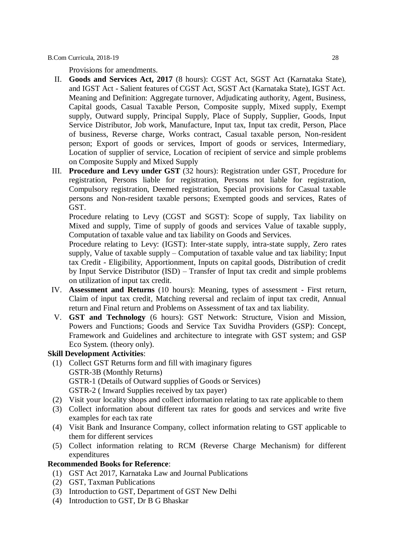Provisions for amendments.

- II. **Goods and Services Act, 2017** (8 hours): CGST Act, SGST Act (Karnataka State), and IGST Act - Salient features of CGST Act, SGST Act (Karnataka State), IGST Act. Meaning and Definition: Aggregate turnover, Adjudicating authority, Agent, Business, Capital goods, Casual Taxable Person, Composite supply, Mixed supply, Exempt supply, Outward supply, Principal Supply, Place of Supply, Supplier, Goods, Input Service Distributor, Job work, Manufacture, Input tax, Input tax credit, Person, Place of business, Reverse charge, Works contract, Casual taxable person, Non-resident person; Export of goods or services, Import of goods or services, Intermediary, Location of supplier of service, Location of recipient of service and simple problems on Composite Supply and Mixed Supply
- III. **Procedure and Levy under GST** (32 hours): Registration under GST, Procedure for registration, Persons liable for registration, Persons not liable for registration, Compulsory registration, Deemed registration, Special provisions for Casual taxable persons and Non-resident taxable persons; Exempted goods and services, Rates of GST.

Procedure relating to Levy (CGST and SGST): Scope of supply, Tax liability on Mixed and supply, Time of supply of goods and services Value of taxable supply, Computation of taxable value and tax liability on Goods and Services.

Procedure relating to Levy: (IGST): Inter-state supply, intra-state supply, Zero rates supply, Value of taxable supply – Computation of taxable value and tax liability; Input tax Credit - Eligibility, Apportionment, Inputs on capital goods, Distribution of credit by Input Service Distributor (ISD) – Transfer of Input tax credit and simple problems on utilization of input tax credit.

- IV. **Assessment and Returns** (10 hours): Meaning, types of assessment First return, Claim of input tax credit, Matching reversal and reclaim of input tax credit, Annual return and Final return and Problems on Assessment of tax and tax liability.
- V. **GST and Technology** (6 hours): GST Network: Structure, Vision and Mission, Powers and Functions; Goods and Service Tax Suvidha Providers (GSP): Concept, Framework and Guidelines and architecture to integrate with GST system; and GSP Eco System. (theory only).

#### **Skill Development Activities**:

- (1) Collect GST Returns form and fill with imaginary figures GSTR-3B (Monthly Returns) b. GSTR-1 (Details of Outward supplies of Goods or Services) GSTR-2 (Inward Supplies received by tax payer)
- (2) Visit your locality shops and collect information relating to tax rate applicable to them
- (3) Collect information about different tax rates for goods and services and write five examples for each tax rate
- (4) Visit Bank and Insurance Company, collect information relating to GST applicable to them for different services
- (5) Collect information relating to RCM (Reverse Charge Mechanism) for different expenditures

- (1) GST Act 2017, Karnataka Law and Journal Publications
- (2) GST, Taxman Publications
- (3) Introduction to GST, Department of GST New Delhi
- (4) Introduction to GST, Dr B G Bhaskar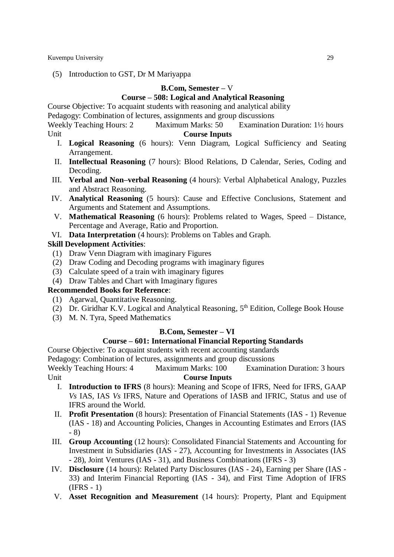(5) Introduction to GST, Dr M Mariyappa

#### **B.Com, Semester –** V

#### **Course – 508: Logical and Analytical Reasoning**

Course Objective: To acquaint students with reasoning and analytical ability

Pedagogy: Combination of lectures, assignments and group discussions

Weekly Teaching Hours: 2 Maximum Marks: 50 Examination Duration: 1<sup>1</sup>/<sub>2</sub> hours Unit **Course Inputs** 

- I. **Logical Reasoning** (6 hours): Venn Diagram, Logical Sufficiency and Seating Arrangement.
- II. **Intellectual Reasoning** (7 hours): Blood Relations, D Calendar, Series, Coding and Decoding.
- III. **Verbal and Non–verbal Reasoning** (4 hours): Verbal Alphabetical Analogy, Puzzles and Abstract Reasoning.
- IV. **Analytical Reasoning** (5 hours): Cause and Effective Conclusions, Statement and Arguments and Statement and Assumptions.
- V. **Mathematical Reasoning** (6 hours): Problems related to Wages, Speed Distance, Percentage and Average, Ratio and Proportion.
- VI. **Data Interpretation** (4 hours): Problems on Tables and Graph.

# **Skill Development Activities**:

- (1) Draw Venn Diagram with imaginary Figures
- (2) Draw Coding and Decoding programs with imaginary figures
- (3) Calculate speed of a train with imaginary figures
- (4) Draw Tables and Chart with Imaginary figures

#### **Recommended Books for Reference**:

- (1) Agarwal, Quantitative Reasoning.
- (2) Dr. Giridhar K.V. Logical and Analytical Reasoning,  $5<sup>th</sup>$  Edition, College Book House
- (3) M. N. Tyra, Speed Mathematics

# **B.Com, Semester – VI**

# **Course – 601: International Financial Reporting Standards**

Course Objective: To acquaint students with recent accounting standards

Pedagogy: Combination of lectures, assignments and group discussions

- I. **Introduction to IFRS** (8 hours): Meaning and Scope of IFRS, Need for IFRS, GAAP *Vs* IAS, IAS *Vs* IFRS, Nature and Operations of IASB and IFRIC, Status and use of IFRS around the World.
- II. **Profit Presentation** (8 hours): Presentation of Financial Statements (IAS 1) Revenue (IAS - 18) and Accounting Policies, Changes in Accounting Estimates and Errors (IAS - 8)
- III. **Group Accounting** (12 hours): Consolidated Financial Statements and Accounting for Investment in Subsidiaries (IAS - 27), Accounting for Investments in Associates (IAS - 28), Joint Ventures (IAS - 31), and Business Combinations (IFRS - 3)
- IV. **Disclosure** (14 hours): Related Party Disclosures (IAS 24), Earning per Share (IAS 33) and Interim Financial Reporting (IAS - 34), and First Time Adoption of IFRS  $(IFRS - 1)$
- V. **Asset Recognition and Measurement** (14 hours): Property, Plant and Equipment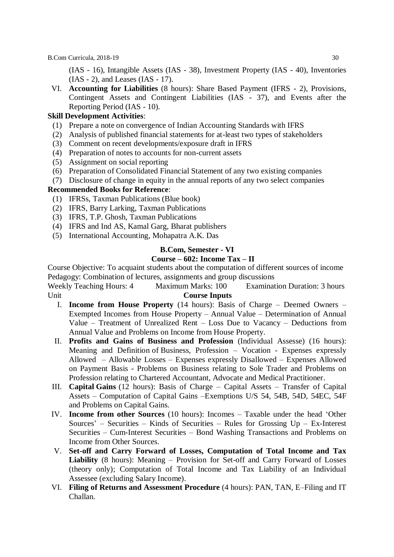(IAS - 16), Intangible Assets (IAS - 38), Investment Property (IAS - 40), Inventories (IAS - 2), and Leases (IAS - 17).

VI. **Accounting for Liabilities** (8 hours): Share Based Payment (IFRS - 2), Provisions, Contingent Assets and Contingent Liabilities (IAS - 37), and Events after the Reporting Period (IAS - 10).

#### **Skill Development Activities**:

- (1) Prepare a note on convergence of Indian Accounting Standards with IFRS
- (2) Analysis of published financial statements for at-least two types of stakeholders
- (3) Comment on recent developments/exposure draft in IFRS
- (4) Preparation of notes to accounts for non-current assets
- (5) Assignment on social reporting
- (6) Preparation of Consolidated Financial Statement of any two existing companies
- (7) Disclosure of change in equity in the annual reports of any two select companies

#### **Recommended Books for Reference**:

- (1) IFRSs, Taxman Publications (Blue book)
- (2) IFRS, Barry Larking, Taxman Publications
- (3) IFRS, T.P. Ghosh, Taxman Publications
- (4) IFRS and Ind AS, Kamal Garg, Bharat publishers
- (5) International Accounting, Mohapatra A.K. Das

#### **B.Com, Semester - VI**

# **Course – 602: Income Tax – II**

Course Objective: To acquaint students about the computation of different sources of income Pedagogy: Combination of lectures, assignments and group discussions

- I. **Income from House Property** (14 hours): Basis of Charge Deemed Owners Exempted Incomes from House Property – Annual Value – Determination of Annual Value – Treatment of Unrealized Rent – Loss Due to Vacancy – Deductions from Annual Value and Problems on Income from House Property.
- II. **Profits and Gains of Business and Profession** (Individual Assesse) (16 hours): Meaning and Definition of Business, Profession – Vocation - Expenses expressly Allowed – Allowable Losses – Expenses expressly Disallowed – Expenses Allowed on Payment Basis - Problems on Business relating to Sole Trader and Problems on Profession relating to Chartered Accountant, Advocate and Medical Practitioner.
- III. **Capital Gains** (12 hours): Basis of Charge Capital Assets Transfer of Capital Assets – Computation of Capital Gains –Exemptions U/S 54, 54B, 54D, 54EC, 54F and Problems on Capital Gains.
- IV. **Income from other Sources** (10 hours): Incomes Taxable under the head 'Other Sources' – Securities – Kinds of Securities – Rules for Grossing  $Up$  – Ex-Interest Securities – Cum-Interest Securities – Bond Washing Transactions and Problems on Income from Other Sources.
- V. **Set-off and Carry Forward of Losses, Computation of Total Income and Tax Liability** (8 hours): Meaning – Provision for Set-off and Carry Forward of Losses (theory only); Computation of Total Income and Tax Liability of an Individual Assessee (excluding Salary Income).
- VI. **Filing of Returns and Assessment Procedure** (4 hours): PAN, TAN, E–Filing and IT Challan.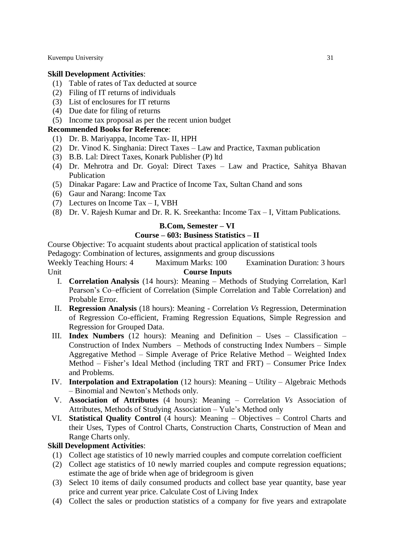#### **Skill Development Activities**:

- (1) Table of rates of Tax deducted at source
- (2) Filing of IT returns of individuals
- (3) List of enclosures for IT returns
- (4) Due date for filing of returns
- (5) Income tax proposal as per the recent union budget

# **Recommended Books for Reference**:

- (1) Dr. B. Mariyappa, Income Tax- II, HPH
- (2) Dr. Vinod K. Singhania: Direct Taxes Law and Practice, Taxman publication
- (3) B.B. Lal: Direct Taxes, Konark Publisher (P) ltd
- (4) Dr. Mehrotra and Dr. Goyal: Direct Taxes Law and Practice, Sahitya Bhavan Publication
- (5) Dinakar Pagare: Law and Practice of Income Tax, Sultan Chand and sons
- (6) Gaur and Narang: Income Tax
- (7) Lectures on Income Tax I, VBH
- (8) Dr. V. Rajesh Kumar and Dr. R. K. Sreekantha: Income Tax I, Vittam Publications.

#### **B.Com, Semester – VI**

# **Course – 603: Business Statistics – II**

Course Objective: To acquaint students about practical application of statistical tools

Pedagogy: Combination of lectures, assignments and group discussions

Weekly Teaching Hours: 4 Maximum Marks: 100 Examination Duration: 3 hours Unit **Course Inputs**

- I. **Correlation Analysis** (14 hours): Meaning Methods of Studying Correlation, Karl Pearson's Co–efficient of Correlation (Simple Correlation and Table Correlation) and Probable Error.
- II. **Regression Analysis** (18 hours): Meaning Correlation *Vs* Regression, Determination of Regression Co-efficient, Framing Regression Equations, Simple Regression and Regression for Grouped Data.
- III. **Index Numbers** (12 hours): Meaning and Definition Uses Classification Construction of Index Numbers – Methods of constructing Index Numbers – Simple Aggregative Method – Simple Average of Price Relative Method – Weighted Index Method – Fisher's Ideal Method (including TRT and FRT) – Consumer Price Index and Problems.
- IV. **Interpolation and Extrapolation** (12 hours): Meaning Utility Algebraic Methods – Binomial and Newton's Methods only.
- V. **Association of Attributes** (4 hours): Meaning Correlation *Vs* Association of Attributes, Methods of Studying Association – Yule's Method only
- VI. **Statistical Quality Control** (4 hours): Meaning Objectives Control Charts and their Uses, Types of Control Charts, Construction Charts, Construction of Mean and Range Charts only.

#### **Skill Development Activities**:

- (1) Collect age statistics of 10 newly married couples and compute correlation coefficient
- (2) Collect age statistics of 10 newly married couples and compute regression equations; estimate the age of bride when age of bridegroom is given
- (3) Select 10 items of daily consumed products and collect base year quantity, base year price and current year price. Calculate Cost of Living Index
- (4) Collect the sales or production statistics of a company for five years and extrapolate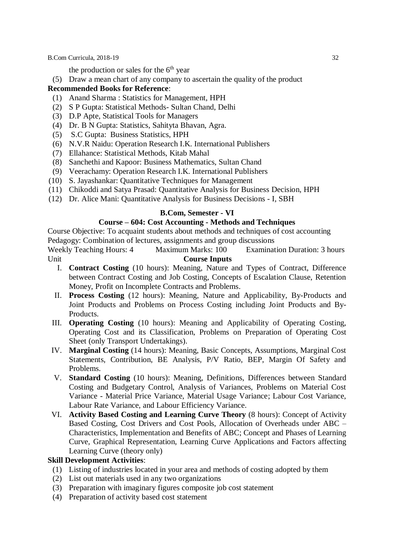the production or sales for the  $6<sup>th</sup>$  year

(5) Draw a mean chart of any company to ascertain the quality of the product

#### **Recommended Books for Reference**:

- (1) Anand Sharma : Statistics for Management, HPH
- (2) S P Gupta: Statistical Methods- Sultan Chand, Delhi
- (3) D.P Apte, Statistical Tools for Managers
- (4) Dr. B N Gupta: Statistics, Sahityta Bhavan, Agra.
- (5) S.C Gupta: Business Statistics, HPH
- (6) N.V.R Naidu: Operation Research I.K. International Publishers
- (7) Ellahance: Statistical Methods, Kitab Mahal
- (8) Sanchethi and Kapoor: Business Mathematics, Sultan Chand
- (9) Veerachamy: Operation Research I.K. International Publishers
- (10) S. Jayashankar: Quantitative Techniques for Management
- (11) Chikoddi and Satya Prasad: Quantitative Analysis for Business Decision, HPH
- (12) Dr. Alice Mani: Quantitative Analysis for Business Decisions I, SBH

#### **B.Com, Semester - VI**

# **Course – 604: Cost Accounting - Methods and Techniques**

Course Objective: To acquaint students about methods and techniques of cost accounting

Pedagogy: Combination of lectures, assignments and group discussions

Weekly Teaching Hours: 4 Maximum Marks: 100 Examination Duration: 3 hours Unit **Course Inputs**

- I. **Contract Costing** (10 hours): Meaning, Nature and Types of Contract, Difference between Contract Costing and Job Costing, Concepts of Escalation Clause, Retention Money, Profit on Incomplete Contracts and Problems.
- II. **Process Costing** (12 hours): Meaning, Nature and Applicability, By-Products and Joint Products and Problems on Process Costing including Joint Products and By-Products.
- III. **Operating Costing** (10 hours): Meaning and Applicability of Operating Costing, Operating Cost and its Classification, Problems on Preparation of Operating Cost Sheet (only Transport Undertakings).
- IV. **Marginal Costing** (14 hours): Meaning, Basic Concepts, Assumptions, Marginal Cost Statements, Contribution, BE Analysis, P/V Ratio, BEP, Margin Of Safety and Problems.
- V. **Standard Costing** (10 hours): Meaning, Definitions, Differences between Standard Costing and Budgetary Control, Analysis of Variances, Problems on Material Cost Variance - Material Price Variance, Material Usage Variance; Labour Cost Variance, Labour Rate Variance, and Labour Efficiency Variance.
- VI. **Activity Based Costing and Learning Curve Theory** (8 hours): Concept of Activity Based Costing, Cost Drivers and Cost Pools, Allocation of Overheads under ABC – Characteristics, Implementation and Benefits of ABC; Concept and Phases of Learning Curve, Graphical Representation, Learning Curve Applications and Factors affecting Learning Curve (theory only)

#### **Skill Development Activities**:

- (1) Listing of industries located in your area and methods of costing adopted by them
- (2) List out materials used in any two organizations
- (3) Preparation with imaginary figures composite job cost statement
- (4) Preparation of activity based cost statement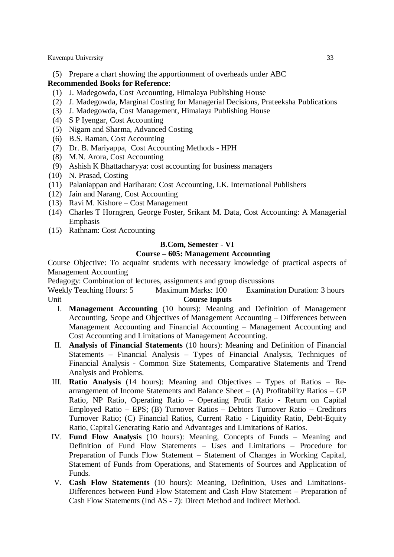(5) Prepare a chart showing the apportionment of overheads under ABC

# **Recommended Books for Reference**:

- (1) J. Madegowda, Cost Accounting, Himalaya Publishing House
- (2) J. Madegowda, Marginal Costing for Managerial Decisions, Prateeksha Publications
- (3) J. Madegowda, Cost Management, Himalaya Publishing House
- (4) S P Iyengar, Cost Accounting
- (5) Nigam and Sharma, Advanced Costing
- (6) B.S. Raman, Cost Accounting
- (7) Dr. B. Mariyappa, Cost Accounting Methods HPH
- (8) M.N. Arora, Cost Accounting
- (9) Ashish K Bhattacharyya: cost accounting for business managers
- (10) N. Prasad, Costing
- (11) Palaniappan and Hariharan: Cost Accounting, I.K. International Publishers
- (12) Jain and Narang, Cost Accounting
- (13) Ravi M. Kishore Cost Management
- (14) Charles T Horngren, George Foster, Srikant M. Data, Cost Accounting: A Managerial Emphasis
- (15) Rathnam: Cost Accounting

#### **B.Com, Semester - VI**

#### **Course – 605: Management Accounting**

Course Objective: To acquaint students with necessary knowledge of practical aspects of Management Accounting

Pedagogy: Combination of lectures, assignments and group discussions

- I. **Management Accounting** (10 hours): Meaning and Definition of Management Accounting, Scope and Objectives of Management Accounting – Differences between Management Accounting and Financial Accounting – Management Accounting and Cost Accounting and Limitations of Management Accounting.
- II. **Analysis of Financial Statements** (10 hours): Meaning and Definition of Financial Statements – Financial Analysis – Types of Financial Analysis, Techniques of Financial Analysis - Common Size Statements, Comparative Statements and Trend Analysis and Problems.
- III. **Ratio Analysis** (14 hours): Meaning and Objectives Types of Ratios Rearrangement of Income Statements and Balance Sheet  $-$  (A) Profitability Ratios  $-$  GP Ratio, NP Ratio, Operating Ratio – Operating Profit Ratio - Return on Capital Employed Ratio – EPS; (B) Turnover Ratios – Debtors Turnover Ratio – Creditors Turnover Ratio; (C) Financial Ratios, Current Ratio - Liquidity Ratio, Debt-Equity Ratio, Capital Generating Ratio and Advantages and Limitations of Ratios.
- IV. **Fund Flow Analysis** (10 hours): Meaning, Concepts of Funds Meaning and Definition of Fund Flow Statements – Uses and Limitations – Procedure for Preparation of Funds Flow Statement – Statement of Changes in Working Capital, Statement of Funds from Operations, and Statements of Sources and Application of Funds.
- V. **Cash Flow Statements** (10 hours): Meaning, Definition, Uses and Limitations-Differences between Fund Flow Statement and Cash Flow Statement – Preparation of Cash Flow Statements (Ind AS - 7): Direct Method and Indirect Method.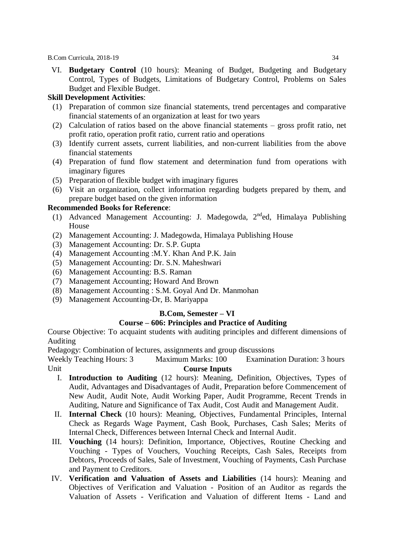VI. **Budgetary Control** (10 hours): Meaning of Budget, Budgeting and Budgetary Control, Types of Budgets, Limitations of Budgetary Control, Problems on Sales Budget and Flexible Budget.

# **Skill Development Activities**:

- (1) Preparation of common size financial statements, trend percentages and comparative financial statements of an organization at least for two years
- (2) Calculation of ratios based on the above financial statements gross profit ratio, net profit ratio, operation profit ratio, current ratio and operations
- (3) Identify current assets, current liabilities, and non-current liabilities from the above financial statements
- (4) Preparation of fund flow statement and determination fund from operations with imaginary figures
- (5) Preparation of flexible budget with imaginary figures
- (6) Visit an organization, collect information regarding budgets prepared by them, and prepare budget based on the given information

# **Recommended Books for Reference**:

- (1) Advanced Management Accounting: J. Madegowda, 2<sup>nd</sup>ed, Himalaya Publishing House
- (2) Management Accounting: J. Madegowda, Himalaya Publishing House
- (3) Management Accounting: Dr. S.P. Gupta
- (4) Management Accounting :M.Y. Khan And P.K. Jain
- (5) Management Accounting: Dr. S.N. Maheshwari
- (6) Management Accounting: B.S. Raman
- (7) Management Accounting; Howard And Brown
- (8) Management Accounting : S.M. Goyal And Dr. Manmohan
- (9) Management Accounting-Dr, B. Mariyappa

# **B.Com, Semester – VI**

# **Course – 606: Principles and Practice of Auditing**

Course Objective: To acquaint students with auditing principles and different dimensions of Auditing

Pedagogy: Combination of lectures, assignments and group discussions

- I. **Introduction to Auditing** (12 hours): Meaning, Definition, Objectives, Types of Audit, Advantages and Disadvantages of Audit, Preparation before Commencement of New Audit, Audit Note, Audit Working Paper, Audit Programme, Recent Trends in Auditing, Nature and Significance of Tax Audit, Cost Audit and Management Audit.
- II. **Internal Check** (10 hours): Meaning, Objectives, Fundamental Principles, Internal Check as Regards Wage Payment, Cash Book, Purchases, Cash Sales; Merits of Internal Check, Differences between Internal Check and Internal Audit.
- III. **Vouching** (14 hours): Definition, Importance, Objectives, Routine Checking and Vouching - Types of Vouchers, Vouching Receipts, Cash Sales, Receipts from Debtors, Proceeds of Sales, Sale of Investment, Vouching of Payments, Cash Purchase and Payment to Creditors.
- IV. **Verification and Valuation of Assets and Liabilities** (14 hours): Meaning and Objectives of Verification and Valuation - Position of an Auditor as regards the Valuation of Assets - Verification and Valuation of different Items - Land and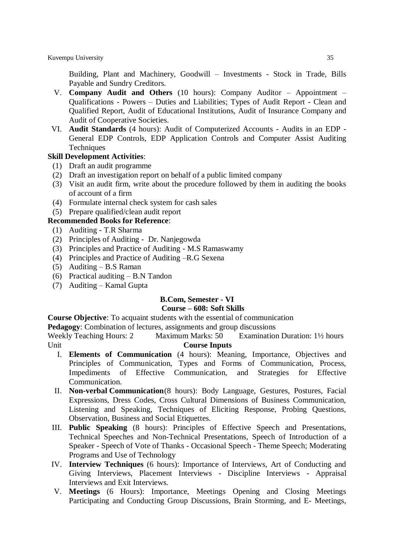Building, Plant and Machinery, Goodwill – Investments - Stock in Trade, Bills Payable and Sundry Creditors.

- V. **Company Audit and Others** (10 hours): Company Auditor Appointment Qualifications - Powers – Duties and Liabilities; Types of Audit Report - Clean and Qualified Report, Audit of Educational Institutions, Audit of Insurance Company and Audit of Cooperative Societies.
- VI. **Audit Standards** (4 hours): Audit of Computerized Accounts Audits in an EDP General EDP Controls, EDP Application Controls and Computer Assist Auditing **Techniques**

# **Skill Development Activities**:

- (1) Draft an audit programme
- (2) Draft an investigation report on behalf of a public limited company
- (3) Visit an audit firm, write about the procedure followed by them in auditing the books of account of a firm
- (4) Formulate internal check system for cash sales
- (5) Prepare qualified/clean audit report

# **Recommended Books for Reference**:

- (1) Auditing T.R Sharma
- (2) Principles of Auditing Dr. Nanjegowda
- (3) Principles and Practice of Auditing M.S Ramaswamy
- (4) Principles and Practice of Auditing –R.G Sexena
- (5) Auditing B.S Raman
- (6) Practical auditing B.N Tandon
- (7) Auditing Kamal Gupta

# **B.Com, Semester - VI**

#### **Course – 608: Soft Skills**

**Course Objective**: To acquaint students with the essential of communication

**Pedagogy**: Combination of lectures, assignments and group discussions

Weekly Teaching Hours: 2 Maximum Marks: 50 Examination Duration: 1<sup>1</sup>/<sub>2</sub> hours Unit **Course Inputs**

- I. **Elements of Communication** (4 hours): Meaning, Importance, Objectives and Principles of Communication, Types and Forms of Communication, Process, Impediments of Effective Communication, and Strategies for Effective Communication.
- II. **Non-verbal Communication**(8 hours): Body Language, Gestures, Postures, Facial Expressions, Dress Codes, Cross Cultural Dimensions of Business Communication, Listening and Speaking, Techniques of Eliciting Response, Probing Questions, Observation, Business and Social Etiquettes.
- III. **Public Speaking** (8 hours): Principles of Effective Speech and Presentations, Technical Speeches and Non-Technical Presentations, Speech of Introduction of a Speaker - Speech of Vote of Thanks - Occasional Speech - Theme Speech; Moderating Programs and Use of Technology
- IV. **Interview Techniques** (6 hours): Importance of Interviews, Art of Conducting and Giving Interviews, Placement Interviews - Discipline Interviews - Appraisal Interviews and Exit Interviews.
- V. **Meetings** (6 Hours): Importance, Meetings Opening and Closing Meetings Participating and Conducting Group Discussions, Brain Storming, and E- Meetings,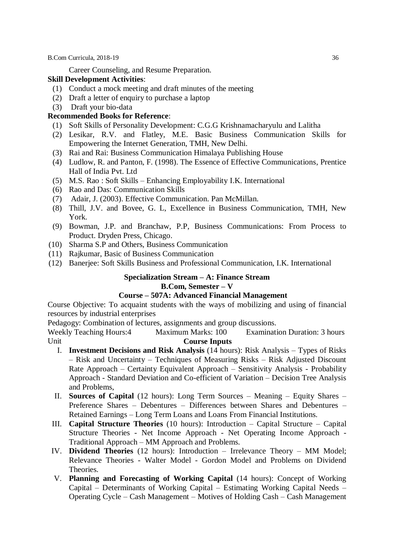Career Counseling, and Resume Preparation.

#### **Skill Development Activities**:

- (1) Conduct a mock meeting and draft minutes of the meeting
- (2) Draft a letter of enquiry to purchase a laptop
- (3) Draft your bio-data

# **Recommended Books for Reference**:

- (1) Soft Skills of Personality Development: C.G.G Krishnamacharyulu and Lalitha
- (2) Lesikar, R.V. and Flatley, M.E. Basic Business Communication Skills for Empowering the Internet Generation, TMH, New Delhi.
- (3) Rai and Rai: Business Communication Himalaya Publishing House
- (4) Ludlow, R. and Panton, F. (1998). The Essence of Effective Communications, Prentice Hall of India Pvt. Ltd
- (5) M.S. Rao : Soft Skills Enhancing Employability I.K. International
- (6) Rao and Das: Communication Skills
- (7) Adair, J. (2003). Effective Communication. Pan McMillan.
- (8) Thill, J.V. and Bovee, G. L, Excellence in Business Communication, TMH, New York.
- (9) Bowman, J.P. and Branchaw, P.P, Business Communications: From Process to Product. Dryden Press, Chicago.
- (10) Sharma S.P and Others, Business Communication
- (11) Rajkumar, Basic of Business Communication
- (12) Banerjee: Soft Skills Business and Professional Communication, I.K. International

#### **Specialization Stream – A: Finance Stream B.Com, Semester – V**

# **Course – 507A: Advanced Financial Management**

Course Objective: To acquaint students with the ways of mobilizing and using of financial resources by industrial enterprises

Pedagogy: Combination of lectures, assignments and group discussions.

- I. **Investment Decisions and Risk Analysis** (14 hours): Risk Analysis Types of Risks – Risk and Uncertainty – Techniques of Measuring Risks – Risk Adjusted Discount Rate Approach – Certainty Equivalent Approach – Sensitivity Analysis - Probability Approach - Standard Deviation and Co-efficient of Variation – Decision Tree Analysis and Problems,
- II. **Sources of Capital** (12 hours): Long Term Sources Meaning Equity Shares Preference Shares – Debentures – Differences between Shares and Debentures – Retained Earnings – Long Term Loans and Loans From Financial Institutions.
- III. **Capital Structure Theories** (10 hours): Introduction Capital Structure Capital Structure Theories - Net Income Approach - Net Operating Income Approach - Traditional Approach – MM Approach and Problems.
- IV. **Dividend Theories** (12 hours): Introduction Irrelevance Theory MM Model; Relevance Theories - Walter Model - Gordon Model and Problems on Dividend Theories.
- V. **Planning and Forecasting of Working Capital** (14 hours): Concept of Working Capital – Determinants of Working Capital – Estimating Working Capital Needs – Operating Cycle – Cash Management – Motives of Holding Cash – Cash Management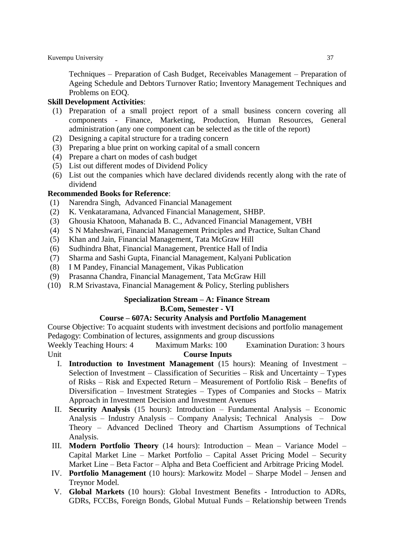Techniques – Preparation of Cash Budget, Receivables Management – Preparation of Ageing Schedule and Debtors Turnover Ratio; Inventory Management Techniques and Problems on EOQ.

# **Skill Development Activities**:

- (1) Preparation of a small project report of a small business concern covering all components - Finance, Marketing, Production, Human Resources, General administration (any one component can be selected as the title of the report)
- (2) Designing a capital structure for a trading concern
- (3) Preparing a blue print on working capital of a small concern
- (4) Prepare a chart on modes of cash budget
- (5) List out different modes of Dividend Policy
- (6) List out the companies which have declared dividends recently along with the rate of dividend

# **Recommended Books for Reference**:

- (1) Narendra Singh, Advanced Financial Management
- (2) K. Venkataramana, Advanced Financial Management, SHBP.
- (3) Ghousia Khatoon, Mahanada B. C., Advanced Financial Management, VBH
- (4) S N Maheshwari, Financial Management Principles and Practice, Sultan Chand
- (5) Khan and Jain, Financial Management, Tata McGraw Hill
- (6) Sudhindra Bhat, Financial Management, Prentice Hall of India
- (7) Sharma and Sashi Gupta, Financial Management, Kalyani Publication
- (8) I M Pandey, Financial Management, Vikas Publication
- (9) Prasanna Chandra, Financial Management, Tata McGraw Hill
- (10) R.M Srivastava, Financial Management & Policy, Sterling publishers

# **Specialization Stream – A: Finance Stream**

# **B.Com, Semester - VI**

#### **Course – 607A: Security Analysis and Portfolio Management**

Course Objective: To acquaint students with investment decisions and portfolio management Pedagogy: Combination of lectures, assignments and group discussions

- I. **Introduction to Investment Management** (15 hours): Meaning of Investment Selection of Investment – Classification of Securities – Risk and Uncertainty – Types of Risks – Risk and Expected Return – Measurement of Portfolio Risk – Benefits of Diversification – Investment Strategies – Types of Companies and Stocks – Matrix Approach in Investment Decision and Investment Avenues
- II. **Security Analysis** (15 hours): Introduction Fundamental Analysis Economic Analysis – Industry Analysis – Company Analysis; Technical Analysis – Dow Theory – Advanced Declined Theory and Chartism Assumptions of Technical Analysis.
- III. **Modern Portfolio Theory** (14 hours): Introduction Mean Variance Model Capital Market Line – Market Portfolio – Capital Asset Pricing Model – Security Market Line – Beta Factor – Alpha and Beta Coefficient and Arbitrage Pricing Model.
- IV. **Portfolio Management** (10 hours): Markowitz Model Sharpe Model Jensen and Treynor Model.
- V. **Global Markets** (10 hours): Global Investment Benefits Introduction to ADRs, GDRs, FCCBs, Foreign Bonds, Global Mutual Funds – Relationship between Trends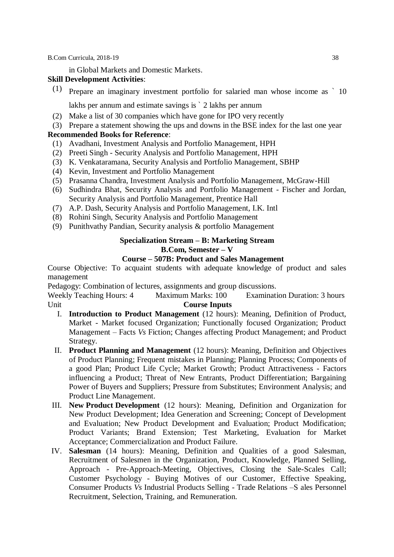in Global Markets and Domestic Markets.

# **Skill Development Activities**:

(1) Prepare an imaginary investment portfolio for salaried man whose income as ` 10

lakhs per annum and estimate savings is ` 2 lakhs per annum

(2) Make a list of 30 companies which have gone for IPO very recently

# (3) Prepare a statement showing the ups and downs in the BSE index for the last one year

# **Recommended Books for Reference**:

- (1) Avadhani, Investment Analysis and Portfolio Management, HPH
- (2) Preeti Singh Security Analysis and Portfolio Management, HPH
- (3) K. Venkataramana, Security Analysis and Portfolio Management, SBHP
- (4) Kevin, Investment and Portfolio Management
- (5) Prasanna Chandra, Investment Analysis and Portfolio Management, McGraw-Hill
- (6) Sudhindra Bhat, Security Analysis and Portfolio Management Fischer and Jordan, Security Analysis and Portfolio Management, Prentice Hall
- (7) A.P. Dash, Security Analysis and Portfolio Management, I.K. Intl
- (8) Rohini Singh, Security Analysis and Portfolio Management
- (9) Punithvathy Pandian, Security analysis & portfolio Management

#### **Specialization Stream – B: Marketing Stream B.Com, Semester – V**

# **Course – 507B: Product and Sales Management**

Course Objective: To acquaint students with adequate knowledge of product and sales management

Pedagogy: Combination of lectures, assignments and group discussions.

- I. **Introduction to Product Management** (12 hours): Meaning, Definition of Product, Market - Market focused Organization; Functionally focused Organization; Product Management – Facts *Vs* Fiction; Changes affecting Product Management; and Product Strategy.
- II. **Product Planning and Management** (12 hours): Meaning, Definition and Objectives of Product Planning; Frequent mistakes in Planning; Planning Process; Components of a good Plan; Product Life Cycle; Market Growth; Product Attractiveness - Factors influencing a Product; Threat of New Entrants, Product Differentiation; Bargaining Power of Buyers and Suppliers; Pressure from Substitutes; Environment Analysis; and Product Line Management.
- III. **New Product Development** (12 hours): Meaning, Definition and Organization for New Product Development; Idea Generation and Screening; Concept of Development and Evaluation; New Product Development and Evaluation; Product Modification; Product Variants; Brand Extension; Test Marketing, Evaluation for Market Acceptance; Commercialization and Product Failure.
- IV. **Salesman** (14 hours): Meaning, Definition and Qualities of a good Salesman, Recruitment of Salesmen in the Organization, Product, Knowledge, Planned Selling, Approach - Pre-Approach-Meeting, Objectives, Closing the Sale-Scales Call; Customer Psychology - Buying Motives of our Customer, Effective Speaking, Consumer Products *Vs* Industrial Products Selling - Trade Relations –S ales Personnel Recruitment, Selection, Training, and Remuneration.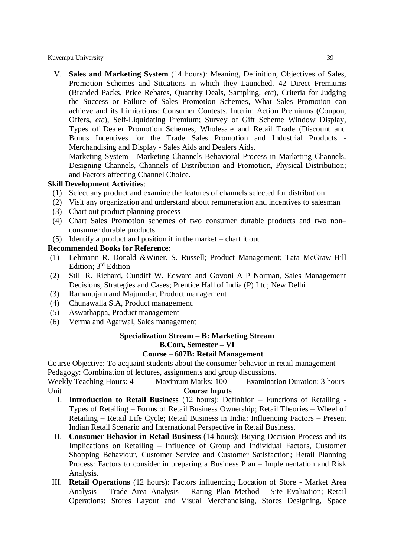V. **Sales and Marketing System** (14 hours): Meaning, Definition, Objectives of Sales, Promotion Schemes and Situations in which they Launched. 42 Direct Premiums (Branded Packs, Price Rebates, Quantity Deals, Sampling, *etc*), Criteria for Judging the Success or Failure of Sales Promotion Schemes, What Sales Promotion can achieve and its Limitations; Consumer Contests, Interim Action Premiums (Coupon, Offers, *etc*), Self-Liquidating Premium; Survey of Gift Scheme Window Display, Types of Dealer Promotion Schemes, Wholesale and Retail Trade (Discount and Bonus Incentives for the Trade Sales Promotion and Industrial Products - Merchandising and Display - Sales Aids and Dealers Aids.

Marketing System - Marketing Channels Behavioral Process in Marketing Channels, Designing Channels, Channels of Distribution and Promotion, Physical Distribution; and Factors affecting Channel Choice.

#### **Skill Development Activities**:

- (1) Select any product and examine the features of channels selected for distribution
- (2) Visit any organization and understand about remuneration and incentives to salesman
- (3) Chart out product planning process
- (4) Chart Sales Promotion schemes of two consumer durable products and two non– consumer durable products
- (5) Identify a product and position it in the market chart it out

#### **Recommended Books for Reference**:

- (1) Lehmann R. Donald &Winer. S. Russell; Product Management; Tata McGraw-Hill Edition; 3rd Edition
- (2) Still R. Richard, Cundiff W. Edward and Govoni A P Norman, Sales Management Decisions, Strategies and Cases; Prentice Hall of India (P) Ltd; New Delhi
- (3) Ramanujam and Majumdar, Product management
- (4) Chunawalla S.A, Product management.
- (5) Aswathappa, Product management
- (6) Verma and Agarwal, Sales management

# **Specialization Stream – B: Marketing Stream B.Com, Semester – VI**

#### **Course – 607B: Retail Management**

Course Objective: To acquaint students about the consumer behavior in retail management Pedagogy: Combination of lectures, assignments and group discussions.

- I. **Introduction to Retail Business** (12 hours): Definition Functions of Retailing Types of Retailing – Forms of Retail Business Ownership; Retail Theories – Wheel of Retailing – Retail Life Cycle; Retail Business in India: Influencing Factors – Present Indian Retail Scenario and International Perspective in Retail Business.
- II. **Consumer Behavior in Retail Business** (14 hours): Buying Decision Process and its Implications on Retailing – Influence of Group and Individual Factors, Customer Shopping Behaviour, Customer Service and Customer Satisfaction; Retail Planning Process: Factors to consider in preparing a Business Plan – Implementation and Risk Analysis.
- III. **Retail Operations** (12 hours): Factors influencing Location of Store Market Area Analysis – Trade Area Analysis – Rating Plan Method - Site Evaluation; Retail Operations: Stores Layout and Visual Merchandising, Stores Designing, Space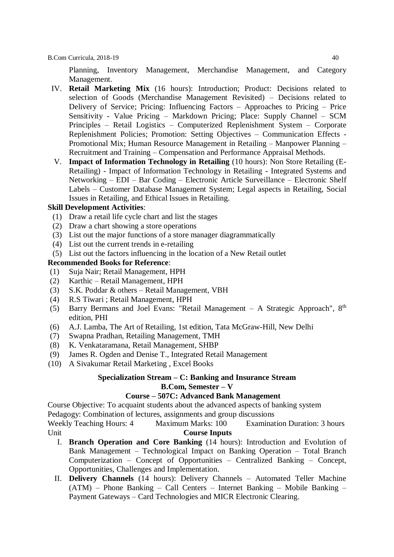Planning, Inventory Management, Merchandise Management, and Category Management.

- IV. **Retail Marketing Mix** (16 hours): Introduction; Product: Decisions related to selection of Goods (Merchandise Management Revisited) – Decisions related to Delivery of Service; Pricing: Influencing Factors – Approaches to Pricing – Price Sensitivity - Value Pricing – Markdown Pricing; Place: Supply Channel – SCM Principles – Retail Logistics – Computerized Replenishment System – Corporate Replenishment Policies; Promotion: Setting Objectives – Communication Effects - Promotional Mix; Human Resource Management in Retailing – Manpower Planning – Recruitment and Training – Compensation and Performance Appraisal Methods.
- V. **Impact of Information Technology in Retailing** (10 hours): Non Store Retailing (E-Retailing) - Impact of Information Technology in Retailing - Integrated Systems and Networking – EDI – Bar Coding – Electronic Article Surveillance – Electronic Shelf Labels – Customer Database Management System; Legal aspects in Retailing, Social Issues in Retailing, and Ethical Issues in Retailing.

#### **Skill Development Activities**:

- (1) Draw a retail life cycle chart and list the stages
- (2) Draw a chart showing a store operations
- (3) List out the major functions of a store manager diagrammatically
- (4) List out the current trends in e-retailing
- (5) List out the factors influencing in the location of a New Retail outlet

#### **Recommended Books for Reference**:

- (1) Suja Nair; Retail Management, HPH
- (2) Karthic Retail Management, HPH
- (3) S.K. Poddar & others Retail Management, VBH
- (4) R.S Tiwari ; Retail Management, HPH
- (5) Barry Bermans and Joel Evans: "Retail Management  $-$  A Strategic Approach",  $8<sup>th</sup>$ edition, PHI
- (6) A.J. Lamba, The Art of Retailing, 1st edition, Tata McGraw-Hill, New Delhi
- (7) Swapna Pradhan, Retailing Management, TMH
- (8) K. Venkataramana, Retail Management, SHBP
- (9) James R. Ogden and Denise T., Integrated Retail Management
- (10) A Sivakumar Retail Marketing , Excel Books

#### **Specialization Stream – C: Banking and Insurance Stream B.Com, Semester – V**

#### **Course – 507C: Advanced Bank Management**

Course Objective: To acquaint students about the advanced aspects of banking system Pedagogy: Combination of lectures, assignments and group discussions

- I. **Branch Operation and Core Banking** (14 hours): Introduction and Evolution of Bank Management – Technological Impact on Banking Operation – Total Branch Computerization – Concept of Opportunities – Centralized Banking – Concept, Opportunities, Challenges and Implementation.
- II. **Delivery Channels** (14 hours): Delivery Channels Automated Teller Machine (ATM) – Phone Banking – Call Centers – Internet Banking – Mobile Banking – Payment Gateways – Card Technologies and MICR Electronic Clearing.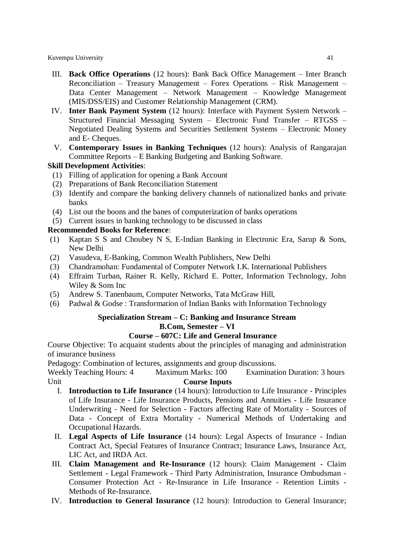- III. **Back Office Operations** (12 hours): Bank Back Office Management Inter Branch Reconciliation – Treasury Management – Forex Operations – Risk Management – Data Center Management – Network Management – Knowledge Management (MIS/DSS/EIS) and Customer Relationship Management (CRM).
- IV. **Inter Bank Payment System** (12 hours): Interface with Payment System Network Structured Financial Messaging System – Electronic Fund Transfer – RTGSS – Negotiated Dealing Systems and Securities Settlement Systems – Electronic Money and E- Cheques.
- V. **Contemporary Issues in Banking Techniques** (12 hours): Analysis of Rangarajan Committee Reports – E Banking Budgeting and Banking Software.

# **Skill Development Activities**:

- (1) Filling of application for opening a Bank Account
- (2) Preparations of Bank Reconciliation Statement
- (3) Identify and compare the banking delivery channels of nationalized banks and private banks
- (4) List out the boons and the banes of computerization of banks operations
- (5) Current issues in banking technology to be discussed in class

# **Recommended Books for Reference**:

- (1) Kaptan S S and Choubey N S, E-Indian Banking in Electronic Era, Sarup & Sons, New Delhi
- (2) Vasudeva, E-Banking, Common Wealth Publishers, New Delhi
- (3) Chandramohan: Fundamental of Computer Network I.K. International Publishers
- (4) Effraim Turban, Rainer R. Kelly, Richard E. Potter, Information Technology, John Wiley & Sons Inc
- (5) Andrew S. Tanenbaum, Computer Networks, Tata McGraw Hill,
- (6) Padwal & Godse : Transformation of Indian Banks with Information Technology

# **Specialization Stream – C: Banking and Insurance Stream**

# **B.Com, Semester – VI**

# **Course – 607C: Life and General Insurance**

Course Objective: To acquaint students about the principles of managing and administration of insurance business

Pedagogy: Combination of lectures, assignments and group discussions.

- I. **Introduction to Life Insurance** (14 hours): Introduction to Life Insurance Principles of Life Insurance - Life Insurance Products, Pensions and Annuities - Life Insurance Underwriting - Need for Selection - Factors affecting Rate of Mortality - Sources of Data - Concept of Extra Mortality - Numerical Methods of Undertaking and Occupational Hazards.
- II. **Legal Aspects of Life Insurance** (14 hours): Legal Aspects of Insurance Indian Contract Act, Special Features of Insurance Contract; Insurance Laws, Insurance Act, LIC Act, and IRDA Act.
- III. **Claim Management and Re-Insurance** (12 hours): Claim Management Claim Settlement - Legal Framework - Third Party Administration, Insurance Ombudsman - Consumer Protection Act - Re-Insurance in Life Insurance - Retention Limits - Methods of Re-Insurance.
- IV. **Introduction to General Insurance** (12 hours): Introduction to General Insurance;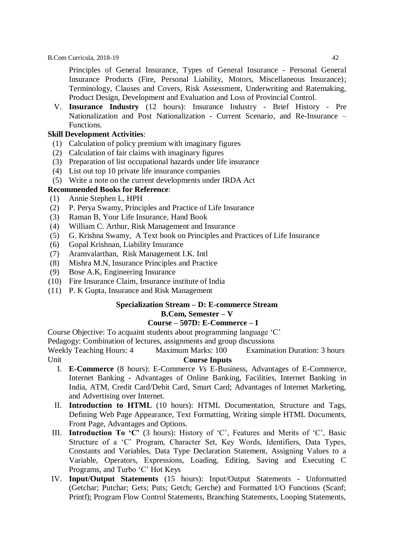Principles of General Insurance, Types of General Insurance - Personal General Insurance Products (Fire, Personal Liability, Motors, Miscellaneous Insurance); Terminology, Clauses and Covers, Risk Assessment, Underwriting and Ratemaking, Product Design, Development and Evaluation and Loss of Provincial Control.

V. **Insurance Industry** (12 hours): Insurance Industry - Brief History - Pre Nationalization and Post Nationalization - Current Scenario, and Re-Insurance – Functions.

# **Skill Development Activities**:

- (1) Calculation of policy premium with imaginary figures
- (2) Calculation of fair claims with imaginary figures
- (3) Preparation of list occupational hazards under life insurance
- (4) List out top 10 private life insurance companies
- (5) Write a note on the current developments under IRDA Act

# **Recommended Books for Reference**:

- (1) Annie Stephen L, HPH
- (2) P. Perya Swamy, Principles and Practice of Life Insurance
- (3) Raman B, Your Life Insurance, Hand Book
- (4) William C. Arthur, Risk Management and Insurance
- (5) G. Krishna Swamy, A Text book on Principles and Practices of Life Insurance
- (6) Gopal Krishnan, Liability Insurance
- (7) Aramvalarthan, Risk Management I.K. Intl
- (8) Mishra M.N, Insurance Principles and Practice
- (9) Bose A.K, Engineering Insurance
- (10) Fire Insurance Claim, Insurance institute of India
- (11) P. K Gupta, Insurance and Risk Management

# **Specialization Stream – D: E-commerce Stream B.Com, Semester – V**

#### **Course – 507D: E-Commerce – I**

Course Objective: To acquaint students about programming language 'C'

Pedagogy: Combination of lectures, assignments and group discussions

- I. **E-Commerce** (8 hours): E-Commerce *Vs* E-Business, Advantages of E-Commerce, Internet Banking - Advantages of Online Banking, Facilities, Internet Banking in India, ATM, Credit Card/Debit Card, Smart Card; Advantages of Internet Marketing, and Advertising over Internet.
- II. **Introduction to HTML** (10 hours): HTML Documentation, Structure and Tags, Defining Web Page Appearance, Text Formatting, Writing simple HTML Documents, Front Page, Advantages and Options.
- III. **Introduction To 'C'** (3 hours): History of 'C', Features and Merits of 'C', Basic Structure of a 'C' Program, Character Set, Key Words, Identifiers, Data Types, Constants and Variables, Data Type Declaration Statement, Assigning Values to a Variable, Operators, Expressions, Loading, Editing, Saving and Executing C Programs, and Turbo 'C' Hot Keys
- IV. **Input/Output Statements** (15 hours): Input/Output Statements Unformatted (Getchar; Putchar; Gets; Puts; Getch; Gerche) and Formatted I/O Functions (Scanf; Printf); Program Flow Control Statements, Branching Statements, Looping Statements,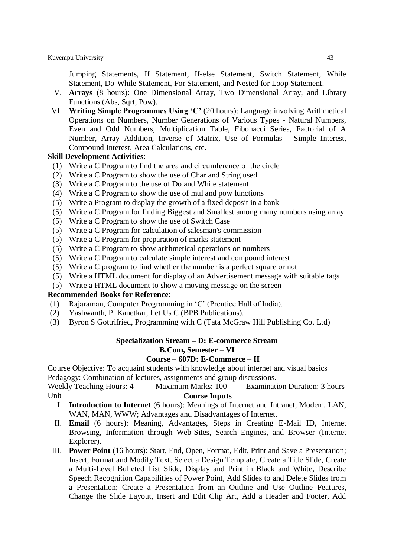Jumping Statements, If Statement, If-else Statement, Switch Statement, While Statement, Do-While Statement, For Statement, and Nested for Loop Statement.

- V. **Arrays** (8 hours): One Dimensional Array, Two Dimensional Array, and Library Functions (Abs, Sqrt, Pow).
- VI. **Writing Simple Programmes Using 'C'** (20 hours): Language involving Arithmetical Operations on Numbers, Number Generations of Various Types - Natural Numbers, Even and Odd Numbers, Multiplication Table, Fibonacci Series, Factorial of A Number, Array Addition, Inverse of Matrix, Use of Formulas - Simple Interest, Compound Interest, Area Calculations, etc.

#### **Skill Development Activities**:

- (1) Write a C Program to find the area and circumference of the circle
- (2) Write a C Program to show the use of Char and String used
- (3) Write a C Program to the use of Do and While statement
- (4) Write a C Program to show the use of mul and pow functions
- (5) Write a Program to display the growth of a fixed deposit in a bank
- (5) Write a C Program for finding Biggest and Smallest among many numbers using array
- (5) Write a C Program to show the use of Switch Case
- (5) Write a C Program for calculation of salesman's commission
- (5) Write a C Program for preparation of marks statement
- (5) Write a C Program to show arithmetical operations on numbers
- (5) Write a C Program to calculate simple interest and compound interest
- (5) Write a C program to find whether the number is a perfect square or not
- (5) Write a HTML document for display of an Advertisement message with suitable tags
- (5) Write a HTML document to show a moving message on the screen

#### **Recommended Books for Reference**:

- (1) Rajaraman, Computer Programming in 'C' (Prentice Hall of India).
- (2) Yashwanth, P. Kanetkar, Let Us C (BPB Publications).
- (3) Byron S Gottrifried, Programming with C (Tata McGraw Hill Publishing Co. Ltd)

#### **Specialization Stream – D: E-commerce Stream B.Com, Semester – VI**

#### **Course – 607D: E-Commerce – II**

Course Objective: To acquaint students with knowledge about internet and visual basics

Pedagogy: Combination of lectures, assignments and group discussions.

- I. **Introduction to Internet** (6 hours): Meanings of Internet and Intranet, Modem, LAN, WAN, MAN, WWW; Advantages and Disadvantages of Internet.
- II. **Email** (6 hours): Meaning, Advantages, Steps in Creating E-Mail ID, Internet Browsing, Information through Web-Sites, Search Engines, and Browser (Internet Explorer).
- III. **Power Point** (16 hours): Start, End, Open, Format, Edit, Print and Save a Presentation; Insert, Format and Modify Text, Select a Design Template, Create a Title Slide, Create a Multi-Level Bulleted List Slide, Display and Print in Black and White, Describe Speech Recognition Capabilities of Power Point, Add Slides to and Delete Slides from a Presentation; Create a Presentation from an Outline and Use Outline Features, Change the Slide Layout, Insert and Edit Clip Art, Add a Header and Footer, Add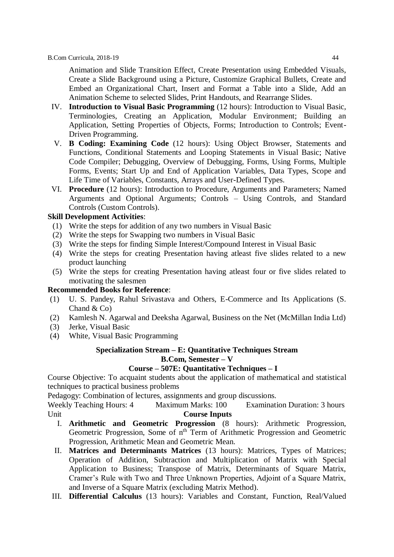Animation and Slide Transition Effect, Create Presentation using Embedded Visuals, Create a Slide Background using a Picture, Customize Graphical Bullets, Create and Embed an Organizational Chart, Insert and Format a Table into a Slide, Add an Animation Scheme to selected Slides, Print Handouts, and Rearrange Slides.

- IV. **Introduction to Visual Basic Programming** (12 hours): Introduction to Visual Basic, Terminologies, Creating an Application, Modular Environment; Building an Application, Setting Properties of Objects, Forms; Introduction to Controls; Event-Driven Programming.
- V. **B Coding: Examining Code** (12 hours): Using Object Browser, Statements and Functions, Conditional Statements and Looping Statements in Visual Basic; Native Code Compiler; Debugging, Overview of Debugging, Forms, Using Forms, Multiple Forms, Events; Start Up and End of Application Variables, Data Types, Scope and Life Time of Variables, Constants, Arrays and User-Defined Types.
- VI. **Procedure** (12 hours): Introduction to Procedure, Arguments and Parameters; Named Arguments and Optional Arguments; Controls – Using Controls, and Standard Controls (Custom Controls).

# **Skill Development Activities**:

- (1) Write the steps for addition of any two numbers in Visual Basic
- (2) Write the steps for Swapping two numbers in Visual Basic
- (3) Write the steps for finding Simple Interest/Compound Interest in Visual Basic
- (4) Write the steps for creating Presentation having atleast five slides related to a new product launching
- (5) Write the steps for creating Presentation having atleast four or five slides related to motivating the salesmen

#### **Recommended Books for Reference**:

- (1) U. S. Pandey, Rahul Srivastava and Others, E-Commerce and Its Applications (S. Chand & Co)
- (2) Kamlesh N. Agarwal and Deeksha Agarwal, Business on the Net (McMillan India Ltd)
- (3) Jerke, Visual Basic
- (4) White, Visual Basic Programming

# **Specialization Stream – E: Quantitative Techniques Stream B.Com, Semester – V**

# **Course – 507E: Quantitative Techniques – I**

Course Objective: To acquaint students about the application of mathematical and statistical techniques to practical business problems

Pedagogy: Combination of lectures, assignments and group discussions.

- I. **Arithmetic and Geometric Progression** (8 hours): Arithmetic Progression, Geometric Progression, Some of n<sup>th</sup> Term of Arithmetic Progression and Geometric Progression, Arithmetic Mean and Geometric Mean.
- II. **Matrices and Determinants Matrices** (13 hours): Matrices, Types of Matrices; Operation of Addition, Subtraction and Multiplication of Matrix with Special Application to Business; Transpose of Matrix, Determinants of Square Matrix, Cramer's Rule with Two and Three Unknown Properties, Adjoint of a Square Matrix, and Inverse of a Square Matrix (excluding Matrix Method).
- III. **Differential Calculus** (13 hours): Variables and Constant, Function, Real/Valued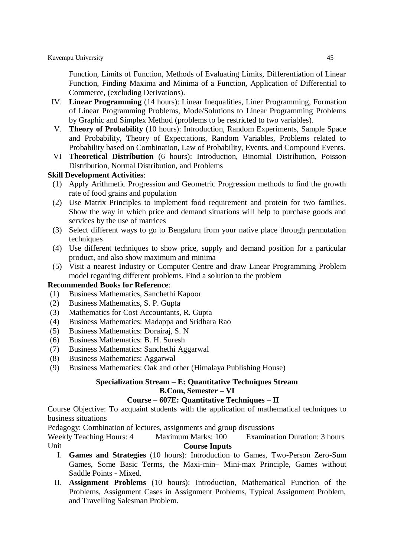Function, Limits of Function, Methods of Evaluating Limits, Differentiation of Linear Function, Finding Maxima and Minima of a Function, Application of Differential to Commerce, (excluding Derivations).

- IV. **Linear Programming** (14 hours): Linear Inequalities, Liner Programming, Formation of Linear Programming Problems, Mode/Solutions to Linear Programming Problems by Graphic and Simplex Method (problems to be restricted to two variables).
- V. **Theory of Probability** (10 hours): Introduction, Random Experiments, Sample Space and Probability, Theory of Expectations, Random Variables, Problems related to Probability based on Combination, Law of Probability, Events, and Compound Events.
- VI **Theoretical Distribution** (6 hours): Introduction, Binomial Distribution, Poisson Distribution, Normal Distribution, and Problems

#### **Skill Development Activities**:

- (1) Apply Arithmetic Progression and Geometric Progression methods to find the growth rate of food grains and population
- (2) Use Matrix Principles to implement food requirement and protein for two families. Show the way in which price and demand situations will help to purchase goods and services by the use of matrices
- (3) Select different ways to go to Bengaluru from your native place through permutation techniques
- (4) Use different techniques to show price, supply and demand position for a particular product, and also show maximum and minima
- (5) Visit a nearest Industry or Computer Centre and draw Linear Programming Problem model regarding different problems. Find a solution to the problem

## **Recommended Books for Reference**:

- (1) Business Mathematics, Sanchethi Kapoor
- (2) Business Mathematics, S. P. Gupta
- (3) Mathematics for Cost Accountants, R. Gupta
- (4) Business Mathematics: Madappa and Sridhara Rao
- (5) Business Mathematics: Dorairaj, S. N
- (6) Business Mathematics: B. H. Suresh
- (7) Business Mathematics: Sanchethi Aggarwal
- (8) Business Mathematics: Aggarwal
- (9) Business Mathematics: Oak and other (Himalaya Publishing House)

#### **Specialization Stream – E: Quantitative Techniques Stream B.Com, Semester – VI**

#### **Course – 607E: Quantitative Techniques – II**

Course Objective: To acquaint students with the application of mathematical techniques to business situations

Pedagogy: Combination of lectures, assignments and group discussions

- I. **Games and Strategies** (10 hours): Introduction to Games, Two-Person Zero-Sum Games, Some Basic Terms, the Maxi-min– Mini-max Principle, Games without Saddle Points - Mixed.
- II. **Assignment Problems** (10 hours): Introduction, Mathematical Function of the Problems, Assignment Cases in Assignment Problems, Typical Assignment Problem, and Travelling Salesman Problem.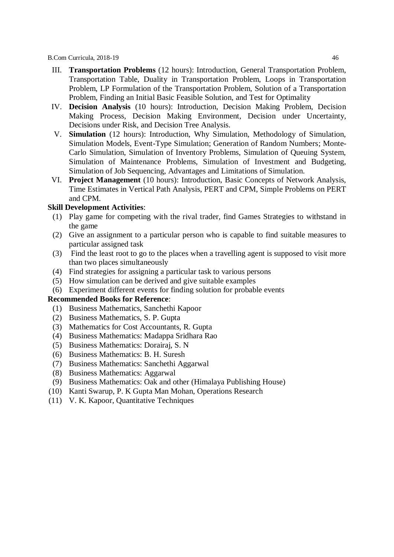- III. **Transportation Problems** (12 hours): Introduction, General Transportation Problem, Transportation Table, Duality in Transportation Problem, Loops in Transportation Problem, LP Formulation of the Transportation Problem, Solution of a Transportation Problem, Finding an Initial Basic Feasible Solution, and Test for Optimality
- IV. **Decision Analysis** (10 hours): Introduction, Decision Making Problem, Decision Making Process, Decision Making Environment, Decision under Uncertainty, Decisions under Risk, and Decision Tree Analysis.
- V. **Simulation** (12 hours): Introduction, Why Simulation, Methodology of Simulation, Simulation Models, Event-Type Simulation; Generation of Random Numbers; Monte-Carlo Simulation, Simulation of Inventory Problems, Simulation of Queuing System, Simulation of Maintenance Problems, Simulation of Investment and Budgeting, Simulation of Job Sequencing, Advantages and Limitations of Simulation.
- VI. **Project Management** (10 hours): Introduction, Basic Concepts of Network Analysis, Time Estimates in Vertical Path Analysis, PERT and CPM, Simple Problems on PERT and CPM.

#### **Skill Development Activities**:

- (1) Play game for competing with the rival trader, find Games Strategies to withstand in the game
- (2) Give an assignment to a particular person who is capable to find suitable measures to particular assigned task
- (3) Find the least root to go to the places when a travelling agent is supposed to visit more than two places simultaneously
- (4) Find strategies for assigning a particular task to various persons
- (5) How simulation can be derived and give suitable examples
- (6) Experiment different events for finding solution for probable events

- (1) Business Mathematics, Sanchethi Kapoor
- (2) Business Mathematics, S. P. Gupta
- (3) Mathematics for Cost Accountants, R. Gupta
- (4) Business Mathematics: Madappa Sridhara Rao
- (5) Business Mathematics: Dorairaj, S. N
- (6) Business Mathematics: B. H. Suresh
- (7) Business Mathematics: Sanchethi Aggarwal
- (8) Business Mathematics: Aggarwal
- (9) Business Mathematics: Oak and other (Himalaya Publishing House)
- (10) Kanti Swarup, P. K Gupta Man Mohan, Operations Research
- (11) V. K. Kapoor, Quantitative Techniques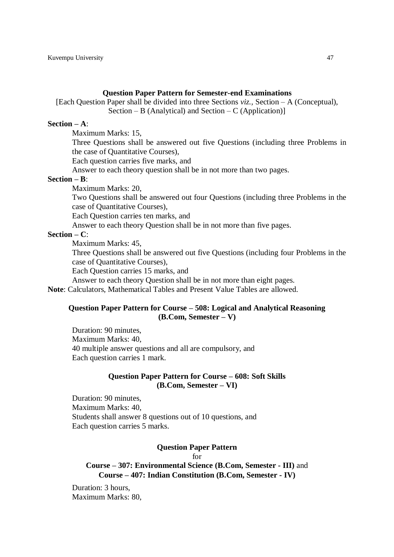#### **Question Paper Pattern for Semester-end Examinations**

[Each Question Paper shall be divided into three Sections *viz.,* Section – A (Conceptual), Section – B (Analytical) and Section – C (Application)]

#### **Section – A**:

Maximum Marks: 15,

Three Questions shall be answered out five Questions (including three Problems in the case of Quantitative Courses),

Each question carries five marks, and

Answer to each theory question shall be in not more than two pages.

#### **Section – B**:

Maximum Marks: 20,

Two Questions shall be answered out four Questions (including three Problems in the case of Quantitative Courses),

Each Question carries ten marks, and

Answer to each theory Question shall be in not more than five pages.

#### **Section – C**:

Maximum Marks: 45,

Three Questions shall be answered out five Questions (including four Problems in the case of Quantitative Courses),

Each Question carries 15 marks, and

Answer to each theory Question shall be in not more than eight pages.

**Note**: Calculators, Mathematical Tables and Present Value Tables are allowed.

#### **Question Paper Pattern for Course – 508: Logical and Analytical Reasoning (B.Com, Semester – V)**

Duration: 90 minutes, Maximum Marks: 40, 40 multiple answer questions and all are compulsory, and Each question carries 1 mark.

#### **Question Paper Pattern for Course – 608: Soft Skills (B.Com, Semester – VI)**

Duration: 90 minutes, Maximum Marks: 40, Students shall answer 8 questions out of 10 questions, and Each question carries 5 marks.

#### **Question Paper Pattern**

for

**Course – 307: Environmental Science (B.Com, Semester - III)** and **Course – 407: Indian Constitution (B.Com, Semester - IV)**

Duration: 3 hours, Maximum Marks: 80,